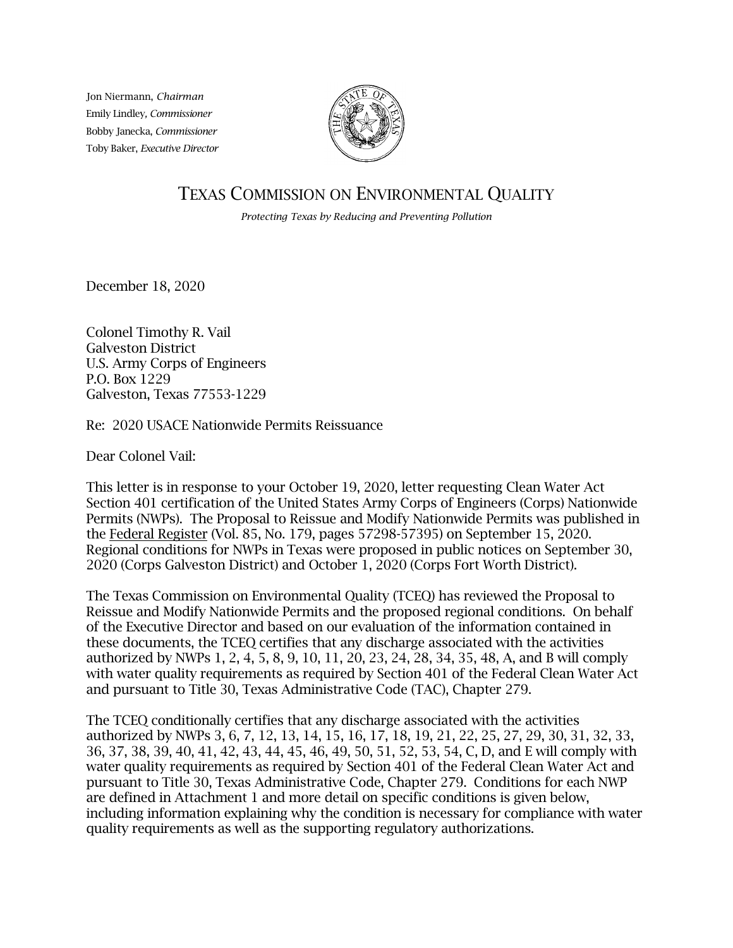Jon Niermann, *Chairman* Emily Lindley*, Commissioner* Bobby Janecka, *Commissioner* Toby Baker, *Executive Director*



# TEXAS COMMISSION ON ENVIRONMENTAL QUALITY

*Protecting Texas by Reducing and Preventing Pollution*

December 18, 2020

Colonel Timothy R. Vail Galveston District U.S. Army Corps of Engineers P.O. Box 1229 Galveston, Texas 77553-1229

Re: 2020 USACE Nationwide Permits Reissuance

Dear Colonel Vail:

This letter is in response to your October 19, 2020, letter requesting Clean Water Act Section 401 certification of the United States Army Corps of Engineers (Corps) Nationwide Permits (NWPs). The Proposal to Reissue and Modify Nationwide Permits was published in the Federal Register (Vol. 85, No. 179, pages 57298-57395) on September 15, 2020. Regional conditions for NWPs in Texas were proposed in public notices on September 30, 2020 (Corps Galveston District) and October 1, 2020 (Corps Fort Worth District).

The Texas Commission on Environmental Quality (TCEQ) has reviewed the Proposal to Reissue and Modify Nationwide Permits and the proposed regional conditions. On behalf of the Executive Director and based on our evaluation of the information contained in these documents, the TCEQ certifies that any discharge associated with the activities authorized by NWPs 1, 2, 4, 5, 8, 9, 10, 11, 20, 23, 24, 28, 34, 35, 48, A, and B will comply with water quality requirements as required by Section 401 of the Federal Clean Water Act and pursuant to Title 30, Texas Administrative Code (TAC), Chapter 279.

The TCEQ conditionally certifies that any discharge associated with the activities authorized by NWPs 3, 6, 7, 12, 13, 14, 15, 16, 17, 18, 19, 21, 22, 25, 27, 29, 30, 31, 32, 33, 36, 37, 38, 39, 40, 41, 42, 43, 44, 45, 46, 49, 50, 51, 52, 53, 54, C, D, and E will comply with water quality requirements as required by Section 401 of the Federal Clean Water Act and pursuant to Title 30, Texas Administrative Code, Chapter 279. Conditions for each NWP are defined in Attachment 1 and more detail on specific conditions is given below, including information explaining why the condition is necessary for compliance with water quality requirements as well as the supporting regulatory authorizations.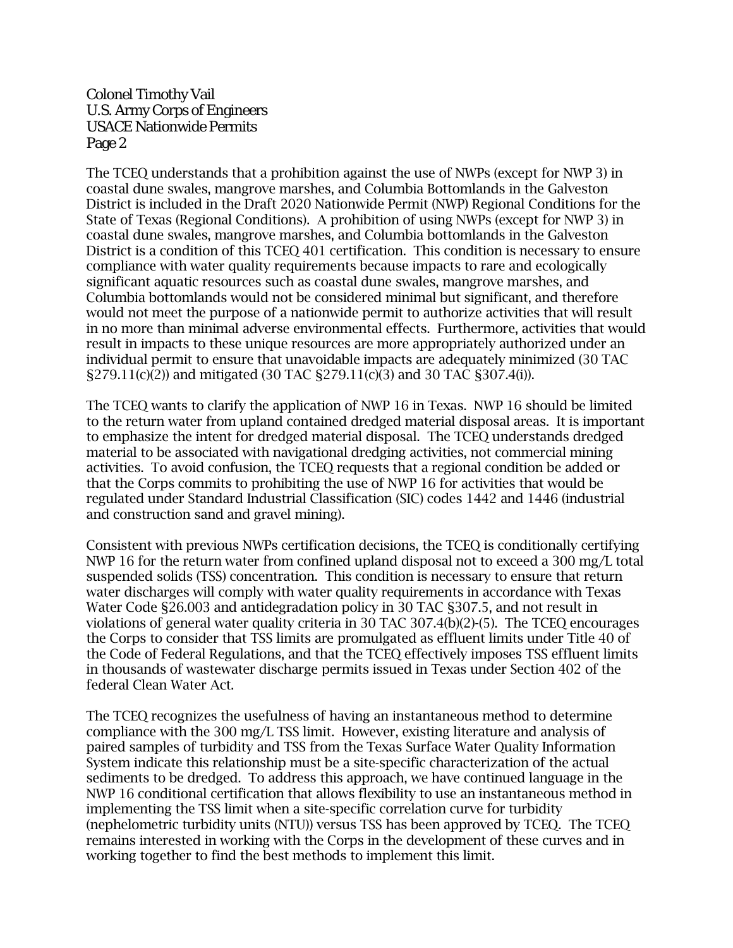The TCEQ understands that a prohibition against the use of NWPs (except for NWP 3) in coastal dune swales, mangrove marshes, and Columbia Bottomlands in the Galveston District is included in the Draft 2020 Nationwide Permit (NWP) Regional Conditions for the State of Texas (Regional Conditions). A prohibition of using NWPs (except for NWP 3) in coastal dune swales, mangrove marshes, and Columbia bottomlands in the Galveston District is a condition of this TCEQ 401 certification. This condition is necessary to ensure compliance with water quality requirements because impacts to rare and ecologically significant aquatic resources such as coastal dune swales, mangrove marshes, and Columbia bottomlands would not be considered minimal but significant, and therefore would not meet the purpose of a nationwide permit to authorize activities that will result in no more than minimal adverse environmental effects. Furthermore, activities that would result in impacts to these unique resources are more appropriately authorized under an individual permit to ensure that unavoidable impacts are adequately minimized (30 TAC §279.11(c)(2)) and mitigated (30 TAC §279.11(c)(3) and 30 TAC §307.4(i)).

The TCEQ wants to clarify the application of NWP 16 in Texas. NWP 16 should be limited to the return water from upland contained dredged material disposal areas. It is important to emphasize the intent for dredged material disposal. The TCEQ understands dredged material to be associated with navigational dredging activities, not commercial mining activities. To avoid confusion, the TCEQ requests that a regional condition be added or that the Corps commits to prohibiting the use of NWP 16 for activities that would be regulated under Standard Industrial Classification (SIC) codes 1442 and 1446 (industrial and construction sand and gravel mining).

Consistent with previous NWPs certification decisions, the TCEQ is conditionally certifying NWP 16 for the return water from confined upland disposal not to exceed a 300 mg/L total suspended solids (TSS) concentration. This condition is necessary to ensure that return water discharges will comply with water quality requirements in accordance with Texas Water Code §26.003 and antidegradation policy in 30 TAC §307.5, and not result in violations of general water quality criteria in 30 TAC 307.4(b)(2)-(5). The TCEQ encourages the Corps to consider that TSS limits are promulgated as effluent limits under Title 40 of the Code of Federal Regulations, and that the TCEQ effectively imposes TSS effluent limits in thousands of wastewater discharge permits issued in Texas under Section 402 of the federal Clean Water Act.

The TCEQ recognizes the usefulness of having an instantaneous method to determine compliance with the 300 mg/L TSS limit. However, existing literature and analysis of paired samples of turbidity and TSS from the Texas Surface Water Quality Information System indicate this relationship must be a site-specific characterization of the actual sediments to be dredged. To address this approach, we have continued language in the NWP 16 conditional certification that allows flexibility to use an instantaneous method in implementing the TSS limit when a site-specific correlation curve for turbidity (nephelometric turbidity units (NTU)) versus TSS has been approved by TCEQ. The TCEQ remains interested in working with the Corps in the development of these curves and in working together to find the best methods to implement this limit.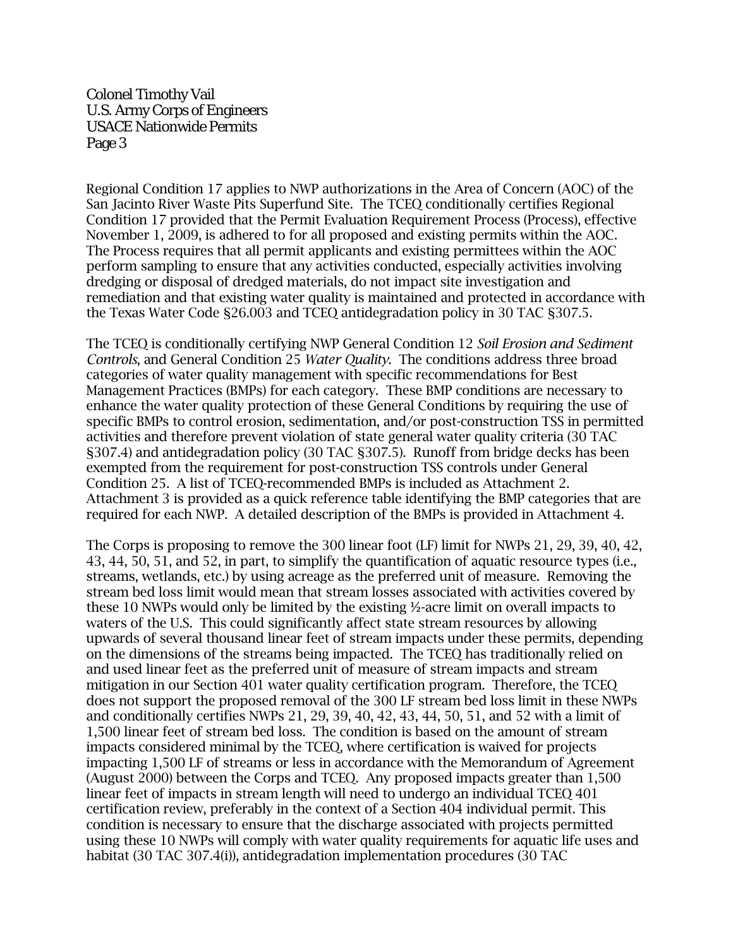Regional Condition 17 applies to NWP authorizations in the Area of Concern (AOC) of the San Jacinto River Waste Pits Superfund Site. The TCEQ conditionally certifies Regional Condition 17 provided that the Permit Evaluation Requirement Process (Process), effective November 1, 2009, is adhered to for all proposed and existing permits within the AOC. The Process requires that all permit applicants and existing permittees within the AOC perform sampling to ensure that any activities conducted, especially activities involving dredging or disposal of dredged materials, do not impact site investigation and remediation and that existing water quality is maintained and protected in accordance with the Texas Water Code §26.003 and TCEQ antidegradation policy in 30 TAC §307.5.

The TCEQ is conditionally certifying NWP General Condition 12 *Soil Erosion and Sediment Controls*, and General Condition 25 *Water Quality*. The conditions address three broad categories of water quality management with specific recommendations for Best Management Practices (BMPs) for each category. These BMP conditions are necessary to enhance the water quality protection of these General Conditions by requiring the use of specific BMPs to control erosion, sedimentation, and/or post-construction TSS in permitted activities and therefore prevent violation of state general water quality criteria (30 TAC §307.4) and antidegradation policy (30 TAC §307.5). Runoff from bridge decks has been exempted from the requirement for post-construction TSS controls under General Condition 25. A list of TCEQ-recommended BMPs is included as Attachment 2. Attachment 3 is provided as a quick reference table identifying the BMP categories that are required for each NWP. A detailed description of the BMPs is provided in Attachment 4.

The Corps is proposing to remove the 300 linear foot (LF) limit for NWPs 21, 29, 39, 40, 42, 43, 44, 50, 51, and 52, in part, to simplify the quantification of aquatic resource types (i.e., streams, wetlands, etc.) by using acreage as the preferred unit of measure. Removing the stream bed loss limit would mean that stream losses associated with activities covered by these 10 NWPs would only be limited by the existing ½-acre limit on overall impacts to waters of the U.S. This could significantly affect state stream resources by allowing upwards of several thousand linear feet of stream impacts under these permits, depending on the dimensions of the streams being impacted. The TCEQ has traditionally relied on and used linear feet as the preferred unit of measure of stream impacts and stream mitigation in our Section 401 water quality certification program. Therefore, the TCEQ does not support the proposed removal of the 300 LF stream bed loss limit in these NWPs and conditionally certifies NWPs 21, 29, 39, 40, 42, 43, 44, 50, 51, and 52 with a limit of 1,500 linear feet of stream bed loss. The condition is based on the amount of stream impacts considered minimal by the TCEQ, where certification is waived for projects impacting 1,500 LF of streams or less in accordance with the Memorandum of Agreement (August 2000) between the Corps and TCEQ. Any proposed impacts greater than 1,500 linear feet of impacts in stream length will need to undergo an individual TCEQ 401 certification review, preferably in the context of a Section 404 individual permit. This condition is necessary to ensure that the discharge associated with projects permitted using these 10 NWPs will comply with water quality requirements for aquatic life uses and habitat (30 TAC 307.4(i)), antidegradation implementation procedures (30 TAC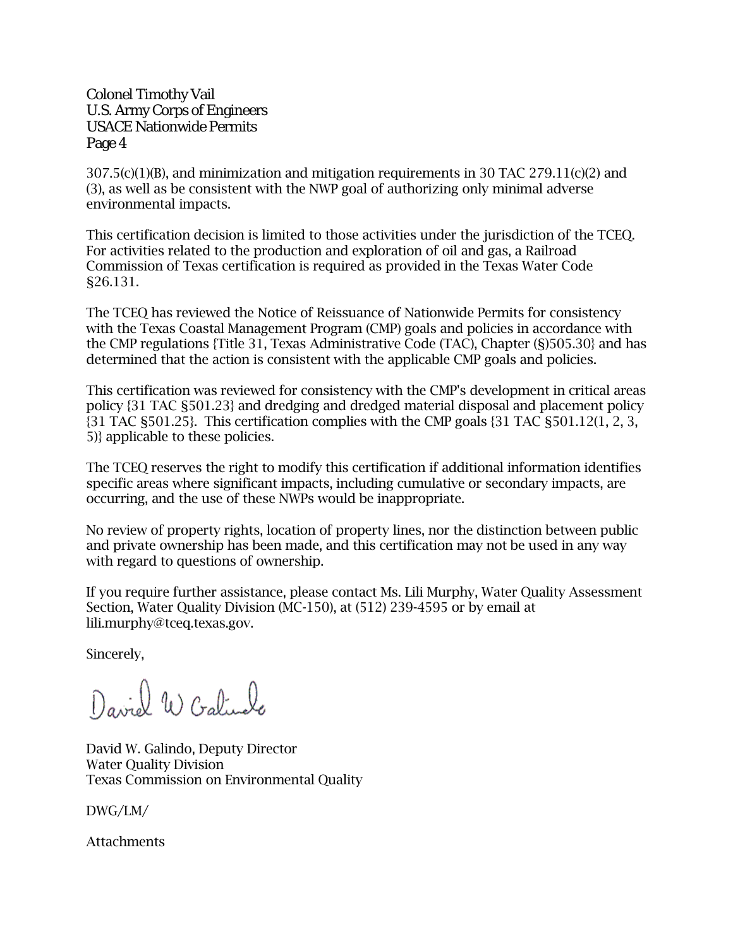$307.5(c)(1)(B)$ , and minimization and mitigation requirements in 30 TAC 279.11(c)(2) and (3), as well as be consistent with the NWP goal of authorizing only minimal adverse environmental impacts.

This certification decision is limited to those activities under the jurisdiction of the TCEQ. For activities related to the production and exploration of oil and gas, a Railroad Commission of Texas certification is required as provided in the Texas Water Code §26.131.

The TCEQ has reviewed the Notice of Reissuance of Nationwide Permits for consistency with the Texas Coastal Management Program (CMP) goals and policies in accordance with the CMP regulations {Title 31, Texas Administrative Code (TAC), Chapter (§)505.30} and has determined that the action is consistent with the applicable CMP goals and policies.

This certification was reviewed for consistency with the CMP's development in critical areas policy {31 TAC §501.23} and dredging and dredged material disposal and placement policy {31 TAC §501.25}. This certification complies with the CMP goals {31 TAC §501.12(1, 2, 3, 5)} applicable to these policies.

The TCEQ reserves the right to modify this certification if additional information identifies specific areas where significant impacts, including cumulative or secondary impacts, are occurring, and the use of these NWPs would be inappropriate.

No review of property rights, location of property lines, nor the distinction between public and private ownership has been made, and this certification may not be used in any way with regard to questions of ownership.

If you require further assistance, please contact Ms. Lili Murphy, Water Quality Assessment Section, Water Quality Division (MC-150), at (512) 239-4595 or by email at lili.murphy@tceq.texas.gov.

Sincerely,

David W Cralingle

David W. Galindo, Deputy Director Water Quality Division Texas Commission on Environmental Quality

DWG/LM/

Attachments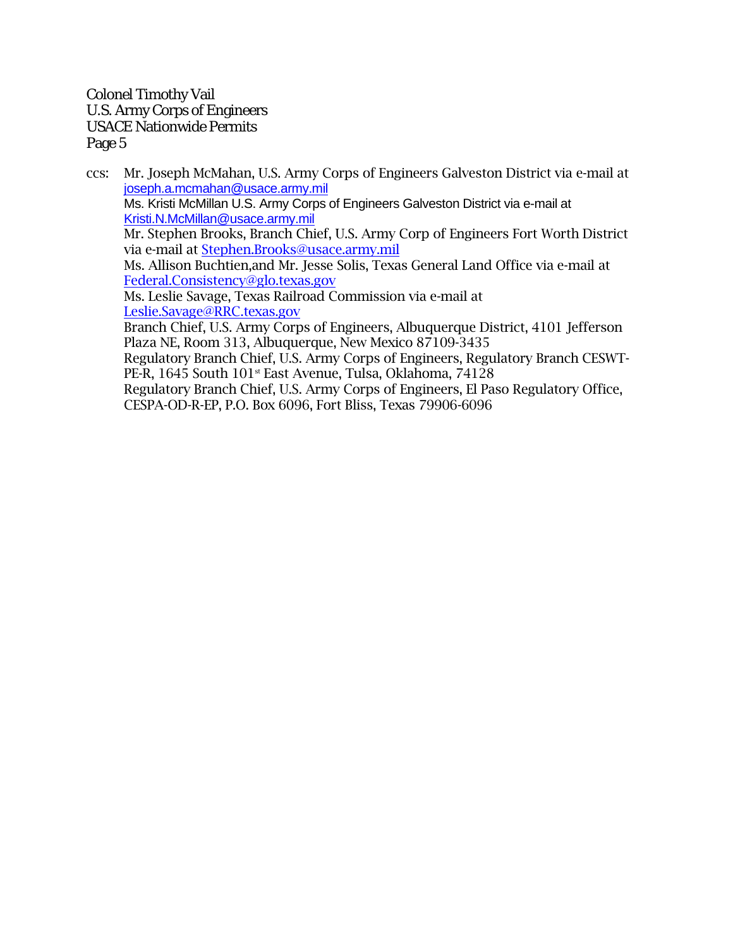ccs: Mr. Joseph McMahan, U.S. Army Corps of Engineers Galveston District via e-mail at [joseph.a.mcmahan@usace.army.mil](mailto:joseph.a.mcmahan@usace.army.mil) Ms. Kristi McMillan U.S. Army Corps of Engineers Galveston District via e-mail at [Kristi.N.McMillan@usace.army.mil](mailto:Kristi.N.McMillan@usace.army.mil) Mr. Stephen Brooks, Branch Chief, U.S. Army Corp of Engineers Fort Worth District via e-mail at [Stephen.Brooks@usace.army.mil](mailto:Stephen.Brooks@usace.army.mil) Ms. Allison Buchtien,and Mr. Jesse Solis, Texas General Land Office via e-mail at [Federal.Consistency@glo.texas.gov](mailto:Federal.Consistency@glo.texas.gov) Ms. Leslie Savage, Texas Railroad Commission via e-mail at [Leslie.Savage@RRC.texas.gov](mailto:Leslie.Savage@RRC.texas.gov) Branch Chief, U.S. Army Corps of Engineers, Albuquerque District, 4101 Jefferson Plaza NE, Room 313, Albuquerque, New Mexico 87109-3435 Regulatory Branch Chief, U.S. Army Corps of Engineers, Regulatory Branch CESWT-PE-R, 1645 South 101<sup>st</sup> East Avenue, Tulsa, Oklahoma, 74128 Regulatory Branch Chief, U.S. Army Corps of Engineers, El Paso Regulatory Office, CESPA-OD-R-EP, P.O. Box 6096, Fort Bliss, Texas 79906-6096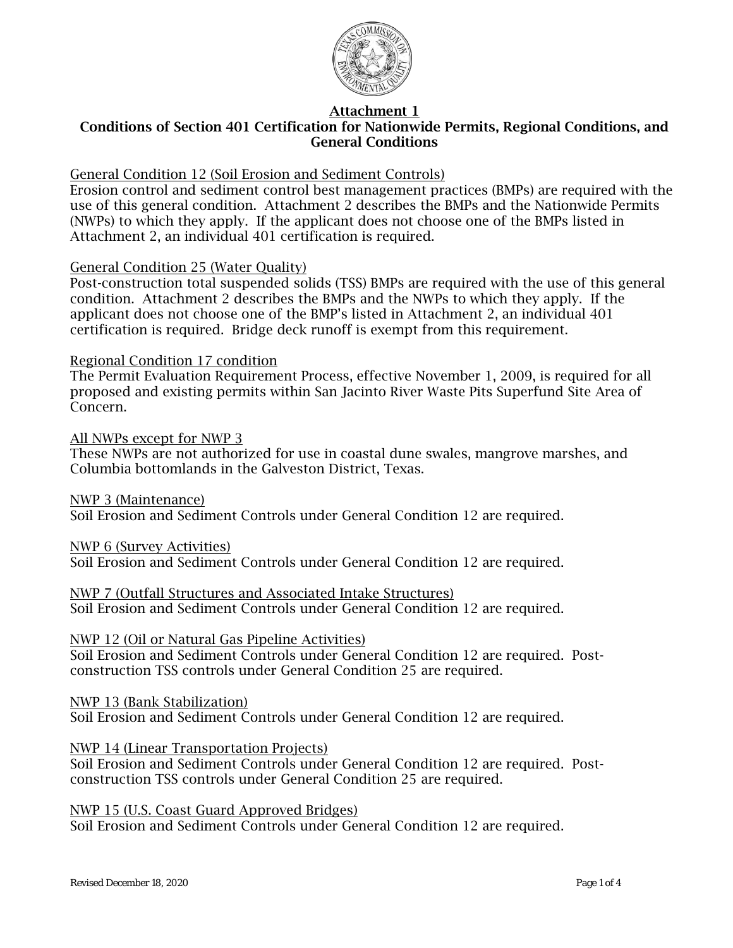

## Conditions of Section 401 Certification for Nationwide Permits, Regional Conditions, and General Conditions

### General Condition 12 (Soil Erosion and Sediment Controls)

Erosion control and sediment control best management practices (BMPs) are required with the use of this general condition. Attachment 2 describes the BMPs and the Nationwide Permits (NWPs) to which they apply. If the applicant does not choose one of the BMPs listed in Attachment 2, an individual 401 certification is required.

#### General Condition 25 (Water Quality)

Post-construction total suspended solids (TSS) BMPs are required with the use of this general condition. Attachment 2 describes the BMPs and the NWPs to which they apply. If the applicant does not choose one of the BMP's listed in Attachment 2, an individual 401 certification is required. Bridge deck runoff is exempt from this requirement.

#### Regional Condition 17 condition

The Permit Evaluation Requirement Process, effective November 1, 2009, is required for all proposed and existing permits within San Jacinto River Waste Pits Superfund Site Area of Concern.

All NWPs except for NWP 3 These NWPs are not authorized for use in coastal dune swales, mangrove marshes, and Columbia bottomlands in the Galveston District, Texas.

NWP 3 (Maintenance) Soil Erosion and Sediment Controls under General Condition 12 are required.

NWP 6 (Survey Activities)

Soil Erosion and Sediment Controls under General Condition 12 are required.

NWP 7 (Outfall Structures and Associated Intake Structures)

Soil Erosion and Sediment Controls under General Condition 12 are required.

## NWP 12 (Oil or Natural Gas Pipeline Activities)

Soil Erosion and Sediment Controls under General Condition 12 are required. Postconstruction TSS controls under General Condition 25 are required.

NWP 13 (Bank Stabilization)

Soil Erosion and Sediment Controls under General Condition 12 are required.

#### NWP 14 (Linear Transportation Projects)

Soil Erosion and Sediment Controls under General Condition 12 are required. Postconstruction TSS controls under General Condition 25 are required.

NWP 15 (U.S. Coast Guard Approved Bridges)

Soil Erosion and Sediment Controls under General Condition 12 are required.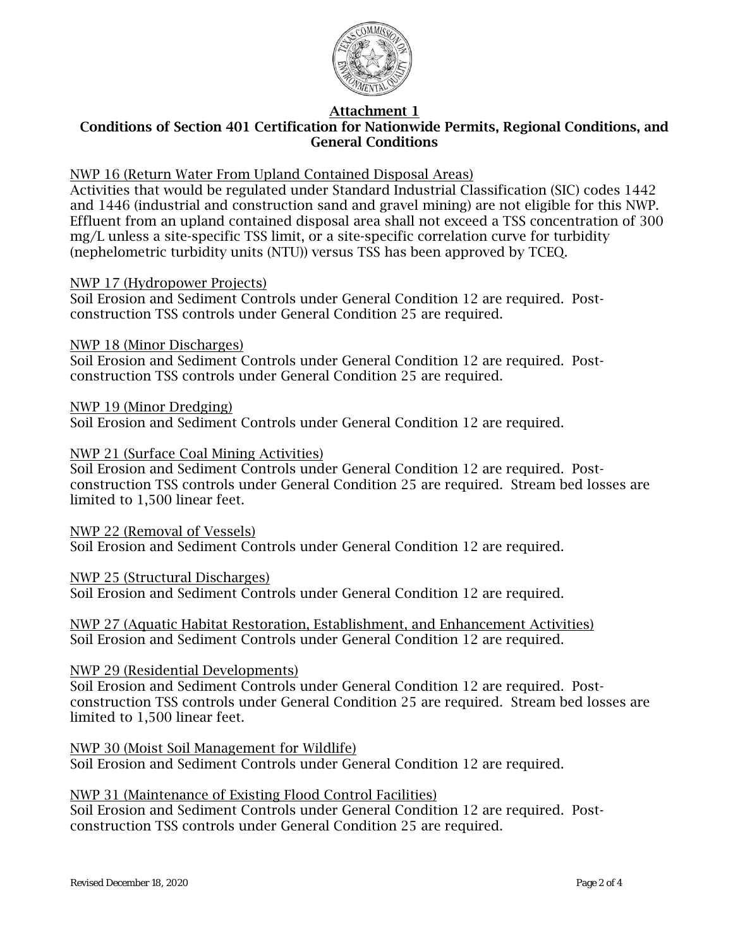

## Conditions of Section 401 Certification for Nationwide Permits, Regional Conditions, and General Conditions

## NWP 16 (Return Water From Upland Contained Disposal Areas)

Activities that would be regulated under Standard Industrial Classification (SIC) codes 1442 and 1446 (industrial and construction sand and gravel mining) are not eligible for this NWP. Effluent from an upland contained disposal area shall not exceed a TSS concentration of 300 mg/L unless a site-specific TSS limit, or a site-specific correlation curve for turbidity (nephelometric turbidity units (NTU)) versus TSS has been approved by TCEQ.

#### NWP 17 (Hydropower Projects)

Soil Erosion and Sediment Controls under General Condition 12 are required. Postconstruction TSS controls under General Condition 25 are required.

#### NWP 18 (Minor Discharges)

Soil Erosion and Sediment Controls under General Condition 12 are required. Postconstruction TSS controls under General Condition 25 are required.

#### NWP 19 (Minor Dredging)

Soil Erosion and Sediment Controls under General Condition 12 are required.

### NWP 21 (Surface Coal Mining Activities)

Soil Erosion and Sediment Controls under General Condition 12 are required. Postconstruction TSS controls under General Condition 25 are required. Stream bed losses are limited to 1,500 linear feet.

NWP 22 (Removal of Vessels) Soil Erosion and Sediment Controls under General Condition 12 are required.

#### NWP 25 (Structural Discharges)

Soil Erosion and Sediment Controls under General Condition 12 are required.

NWP 27 (Aquatic Habitat Restoration, Establishment, and Enhancement Activities) Soil Erosion and Sediment Controls under General Condition 12 are required.

#### NWP 29 (Residential Developments)

Soil Erosion and Sediment Controls under General Condition 12 are required. Postconstruction TSS controls under General Condition 25 are required. Stream bed losses are limited to 1,500 linear feet.

NWP 30 (Moist Soil Management for Wildlife) Soil Erosion and Sediment Controls under General Condition 12 are required.

## NWP 31 (Maintenance of Existing Flood Control Facilities)

Soil Erosion and Sediment Controls under General Condition 12 are required. Postconstruction TSS controls under General Condition 25 are required.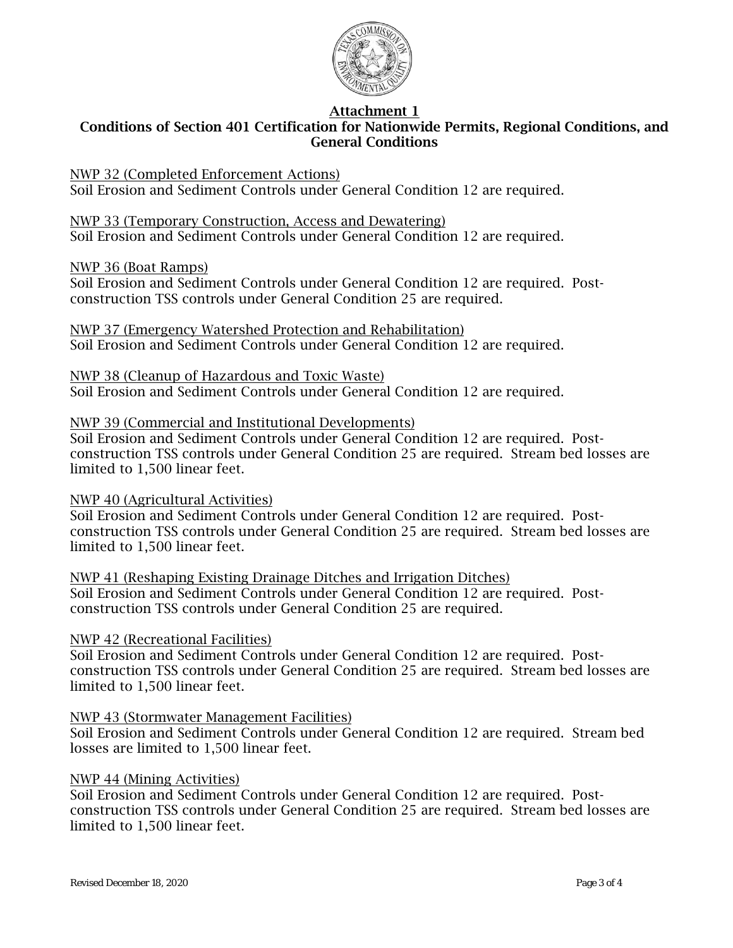

## Conditions of Section 401 Certification for Nationwide Permits, Regional Conditions, and General Conditions

NWP 32 (Completed Enforcement Actions) Soil Erosion and Sediment Controls under General Condition 12 are required.

NWP 33 (Temporary Construction, Access and Dewatering) Soil Erosion and Sediment Controls under General Condition 12 are required.

NWP 36 (Boat Ramps)

Soil Erosion and Sediment Controls under General Condition 12 are required. Postconstruction TSS controls under General Condition 25 are required.

NWP 37 (Emergency Watershed Protection and Rehabilitation) Soil Erosion and Sediment Controls under General Condition 12 are required.

NWP 38 (Cleanup of Hazardous and Toxic Waste)

Soil Erosion and Sediment Controls under General Condition 12 are required.

#### NWP 39 (Commercial and Institutional Developments)

Soil Erosion and Sediment Controls under General Condition 12 are required. Postconstruction TSS controls under General Condition 25 are required. Stream bed losses are limited to 1,500 linear feet.

#### NWP 40 (Agricultural Activities)

Soil Erosion and Sediment Controls under General Condition 12 are required. Postconstruction TSS controls under General Condition 25 are required. Stream bed losses are limited to 1,500 linear feet.

NWP 41 (Reshaping Existing Drainage Ditches and Irrigation Ditches) Soil Erosion and Sediment Controls under General Condition 12 are required. Postconstruction TSS controls under General Condition 25 are required.

#### NWP 42 (Recreational Facilities)

Soil Erosion and Sediment Controls under General Condition 12 are required. Postconstruction TSS controls under General Condition 25 are required. Stream bed losses are limited to 1,500 linear feet.

## NWP 43 (Stormwater Management Facilities)

Soil Erosion and Sediment Controls under General Condition 12 are required. Stream bed losses are limited to 1,500 linear feet.

#### NWP 44 (Mining Activities)

Soil Erosion and Sediment Controls under General Condition 12 are required. Postconstruction TSS controls under General Condition 25 are required. Stream bed losses are limited to 1,500 linear feet.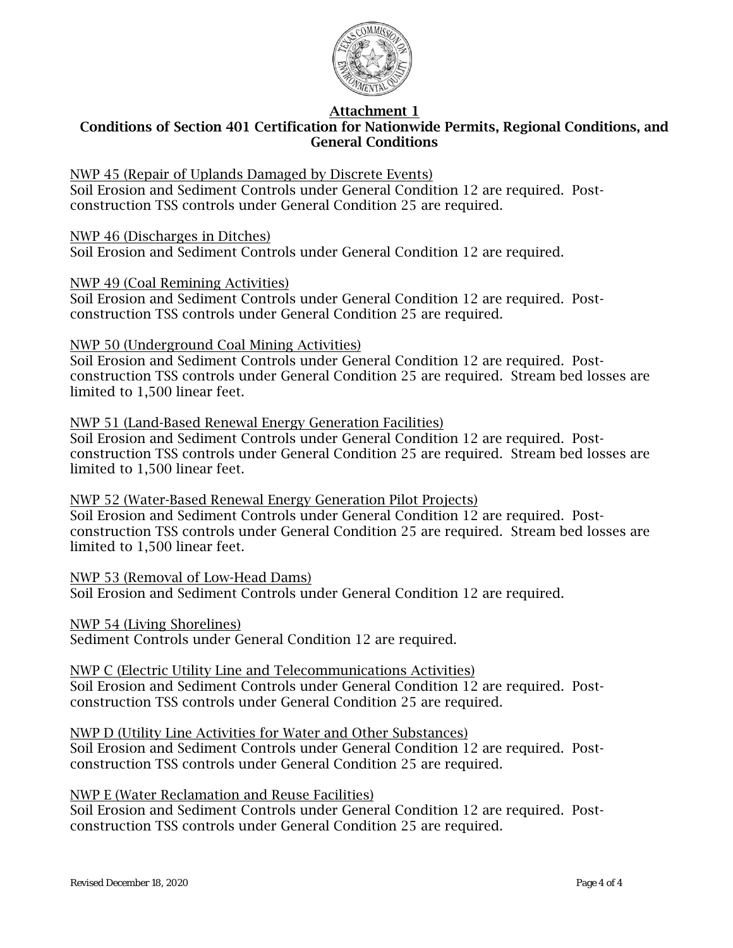

## Conditions of Section 401 Certification for Nationwide Permits, Regional Conditions, and General Conditions

NWP 45 (Repair of Uplands Damaged by Discrete Events)

Soil Erosion and Sediment Controls under General Condition 12 are required. Postconstruction TSS controls under General Condition 25 are required.

NWP 46 (Discharges in Ditches) Soil Erosion and Sediment Controls under General Condition 12 are required.

NWP 49 (Coal Remining Activities)

Soil Erosion and Sediment Controls under General Condition 12 are required. Postconstruction TSS controls under General Condition 25 are required.

#### NWP 50 (Underground Coal Mining Activities)

Soil Erosion and Sediment Controls under General Condition 12 are required. Postconstruction TSS controls under General Condition 25 are required. Stream bed losses are limited to 1,500 linear feet.

#### NWP 51 (Land-Based Renewal Energy Generation Facilities) Soil Erosion and Sediment Controls under General Condition 12 are required. Postconstruction TSS controls under General Condition 25 are required. Stream bed losses are limited to 1,500 linear feet.

NWP 52 (Water-Based Renewal Energy Generation Pilot Projects) Soil Erosion and Sediment Controls under General Condition 12 are required. Postconstruction TSS controls under General Condition 25 are required. Stream bed losses are limited to 1,500 linear feet.

NWP 53 (Removal of Low-Head Dams) Soil Erosion and Sediment Controls under General Condition 12 are required.

NWP 54 (Living Shorelines) Sediment Controls under General Condition 12 are required.

### NWP C (Electric Utility Line and Telecommunications Activities) Soil Erosion and Sediment Controls under General Condition 12 are required. Post-

construction TSS controls under General Condition 25 are required.

NWP D (Utility Line Activities for Water and Other Substances)

Soil Erosion and Sediment Controls under General Condition 12 are required. Postconstruction TSS controls under General Condition 25 are required.

## NWP E (Water Reclamation and Reuse Facilities)

Soil Erosion and Sediment Controls under General Condition 12 are required. Postconstruction TSS controls under General Condition 25 are required.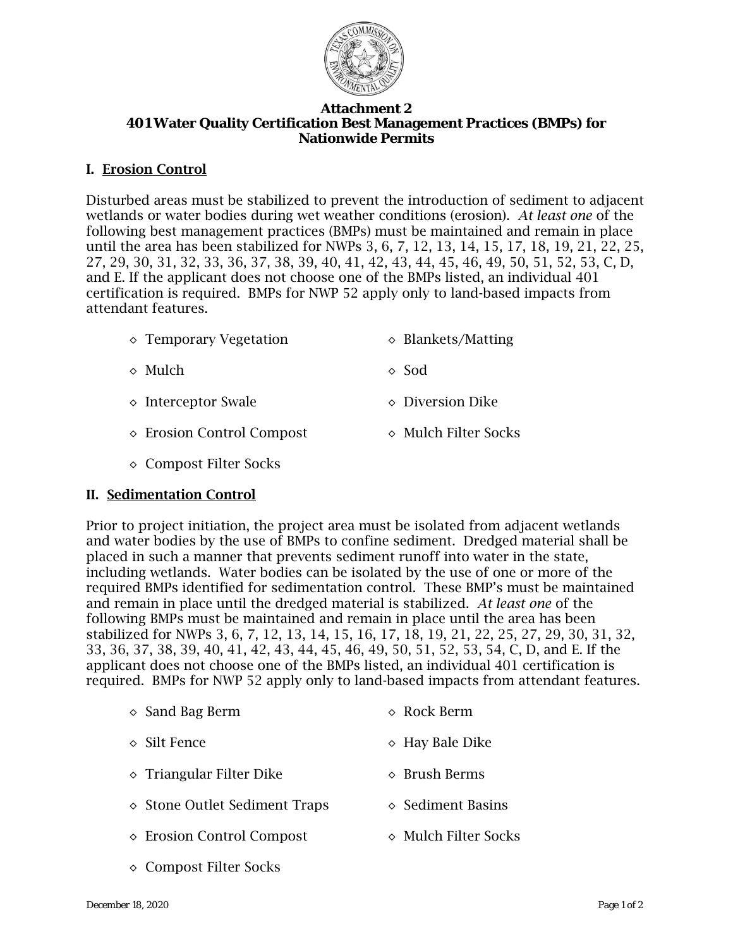

#### **Attachment 2 401 Water Quality Certification Best Management Practices (BMPs) for Nationwide Permits**

## I. Erosion Control

Disturbed areas must be stabilized to prevent the introduction of sediment to adjacent wetlands or water bodies during wet weather conditions (erosion). *At least one* of the following best management practices (BMPs) must be maintained and remain in place until the area has been stabilized for NWPs 3, 6, 7, 12, 13, 14, 15, 17, 18, 19, 21, 22, 25, 27, 29, 30, 31, 32, 33, 36, 37, 38, 39, 40, 41, 42, 43, 44, 45, 46, 49, 50, 51, 52, 53, C, D, and E. If the applicant does not choose one of the BMPs listed, an individual 401 certification is required. BMPs for NWP 52 apply only to land-based impacts from attendant features.

| $\Diamond$ Temporary Vegetation | $\Diamond$ Blankets/Matting   |
|---------------------------------|-------------------------------|
| $\Diamond$ Mulch                | $\Diamond$ Sod                |
| $\diamond$ Interceptor Swale    | $\diamond$ Diversion Dike     |
| ◇ Erosion Control Compost       | $\diamond$ Mulch Filter Socks |

◊ Compost Filter Socks

## II. Sedimentation Control

Prior to project initiation, the project area must be isolated from adjacent wetlands and water bodies by the use of BMPs to confine sediment. Dredged material shall be placed in such a manner that prevents sediment runoff into water in the state, including wetlands. Water bodies can be isolated by the use of one or more of the required BMPs identified for sedimentation control. These BMP's must be maintained and remain in place until the dredged material is stabilized. *At least one* of the following BMPs must be maintained and remain in place until the area has been stabilized for NWPs 3, 6, 7, 12, 13, 14, 15, 16, 17, 18, 19, 21, 22, 25, 27, 29, 30, 31, 32, 33, 36, 37, 38, 39, 40, 41, 42, 43, 44, 45, 46, 49, 50, 51, 52, 53, 54, C, D, and E. If the applicant does not choose one of the BMPs listed, an individual 401 certification is required. BMPs for NWP 52 apply only to land-based impacts from attendant features.

| $\Diamond$ Sand Bag Berm               | $\Diamond$ Rock Berm          |
|----------------------------------------|-------------------------------|
| $\Diamond$ Silt Fence                  | $\Diamond$ Hay Bale Dike      |
| $\Diamond$ Triangular Filter Dike      | $\Diamond$ Brush Berms        |
| $\diamond$ Stone Outlet Sediment Traps | $\diamond$ Sediment Basins    |
| ◇ Erosion Control Compost              | $\diamond$ Mulch Filter Socks |
| ◇ Compost Filter Socks                 |                               |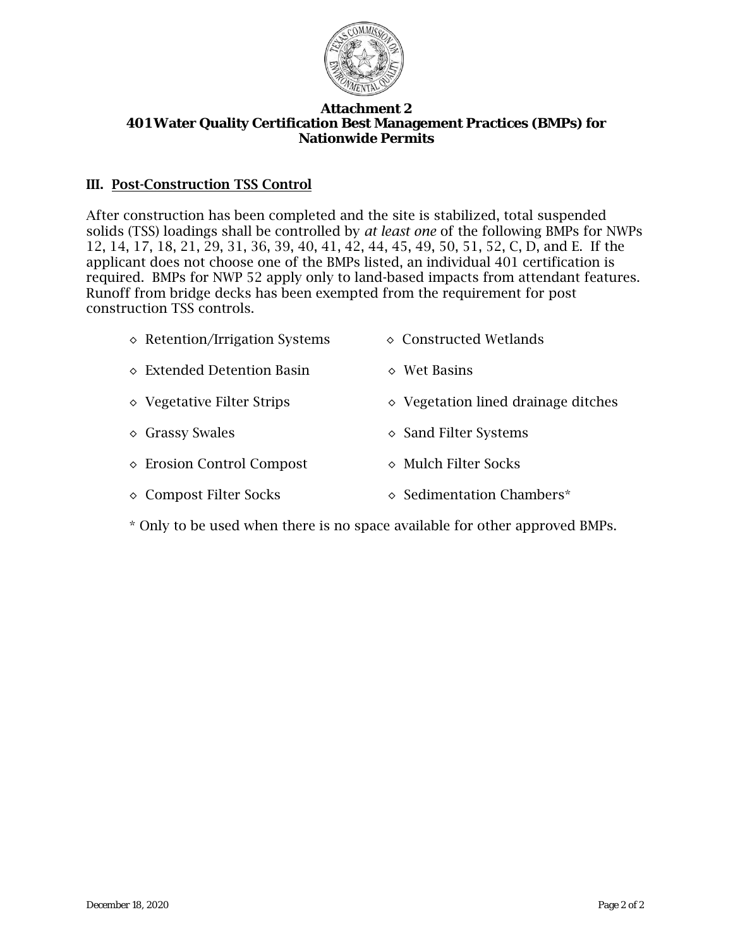

#### **Attachment 2 401 Water Quality Certification Best Management Practices (BMPs) for Nationwide Permits**

## III. Post-Construction TSS Control

After construction has been completed and the site is stabilized, total suspended solids (TSS) loadings shall be controlled by *at least one* of the following BMPs for NWPs 12, 14, 17, 18, 21, 29, 31, 36, 39, 40, 41, 42, 44, 45, 49, 50, 51, 52, C, D, and E. If the applicant does not choose one of the BMPs listed, an individual 401 certification is required. BMPs for NWP 52 apply only to land-based impacts from attendant features. Runoff from bridge decks has been exempted from the requirement for post construction TSS controls.

| $\diamond$ Retention/Irrigation Systems | $\diamond$ Constructed Wetlands              |
|-----------------------------------------|----------------------------------------------|
| $\Diamond$ Extended Detention Basin     | $\diamond$ Wet Basins                        |
| $\Diamond$ Vegetative Filter Strips     | $\diamond$ Vegetation lined drainage ditches |
| $\Diamond$ Grassy Swales                | $\Diamond$ Sand Filter Systems               |
| ◇ Erosion Control Compost               | $\diamond$ Mulch Filter Socks                |
| ◇ Compost Filter Socks                  | ◇ Sedimentation Chambers*                    |

\* Only to be used when there is no space available for other approved BMPs.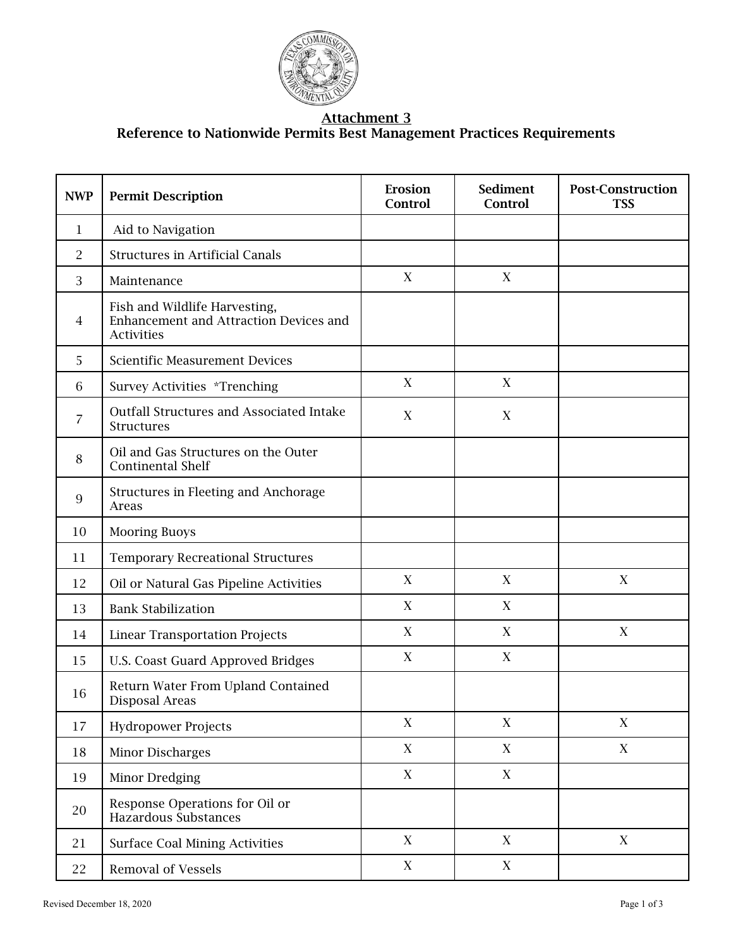

#### Attachment 3 Reference to Nationwide Permits Best Management Practices Requirements

| <b>NWP</b> | <b>Permit Description</b>                                                                    | Erosion<br>Control        | <b>Sediment</b><br>Control | <b>Post-Construction</b><br><b>TSS</b> |
|------------|----------------------------------------------------------------------------------------------|---------------------------|----------------------------|----------------------------------------|
| 1          | Aid to Navigation                                                                            |                           |                            |                                        |
| 2          | <b>Structures in Artificial Canals</b>                                                       |                           |                            |                                        |
| 3          | Maintenance                                                                                  | X                         | X                          |                                        |
| 4          | Fish and Wildlife Harvesting,<br>Enhancement and Attraction Devices and<br><b>Activities</b> |                           |                            |                                        |
| 5          | <b>Scientific Measurement Devices</b>                                                        |                           |                            |                                        |
| 6          | Survey Activities *Trenching                                                                 | X                         | X                          |                                        |
| 7          | <b>Outfall Structures and Associated Intake</b><br><b>Structures</b>                         | X                         | $\mathbf X$                |                                        |
| 8          | Oil and Gas Structures on the Outer<br><b>Continental Shelf</b>                              |                           |                            |                                        |
| 9          | Structures in Fleeting and Anchorage<br>Areas                                                |                           |                            |                                        |
| 10         | <b>Mooring Buoys</b>                                                                         |                           |                            |                                        |
| 11         | <b>Temporary Recreational Structures</b>                                                     |                           |                            |                                        |
| 12         | Oil or Natural Gas Pipeline Activities                                                       | X                         | X                          | $\mathbf X$                            |
| 13         | <b>Bank Stabilization</b>                                                                    | X                         | X                          |                                        |
| 14         | <b>Linear Transportation Projects</b>                                                        | X                         | X                          | X                                      |
| 15         | U.S. Coast Guard Approved Bridges                                                            | X                         | X                          |                                        |
| 16         | Return Water From Upland Contained<br>Disposal Areas                                         |                           |                            |                                        |
| 17         | <b>Hydropower Projects</b>                                                                   | $\boldsymbol{\mathrm{X}}$ | X                          | X                                      |
| 18         | Minor Discharges                                                                             | $\mathbf X$               | X                          | $\mathbf X$                            |
| 19         | Minor Dredging                                                                               | $\mathbf X$               | $\mathbf X$                |                                        |
| 20         | Response Operations for Oil or<br><b>Hazardous Substances</b>                                |                           |                            |                                        |
| 21         | <b>Surface Coal Mining Activities</b>                                                        | $\mathbf X$               | X                          | $\mathbf X$                            |
| 22         | <b>Removal of Vessels</b>                                                                    | $\boldsymbol{\mathrm{X}}$ | X                          |                                        |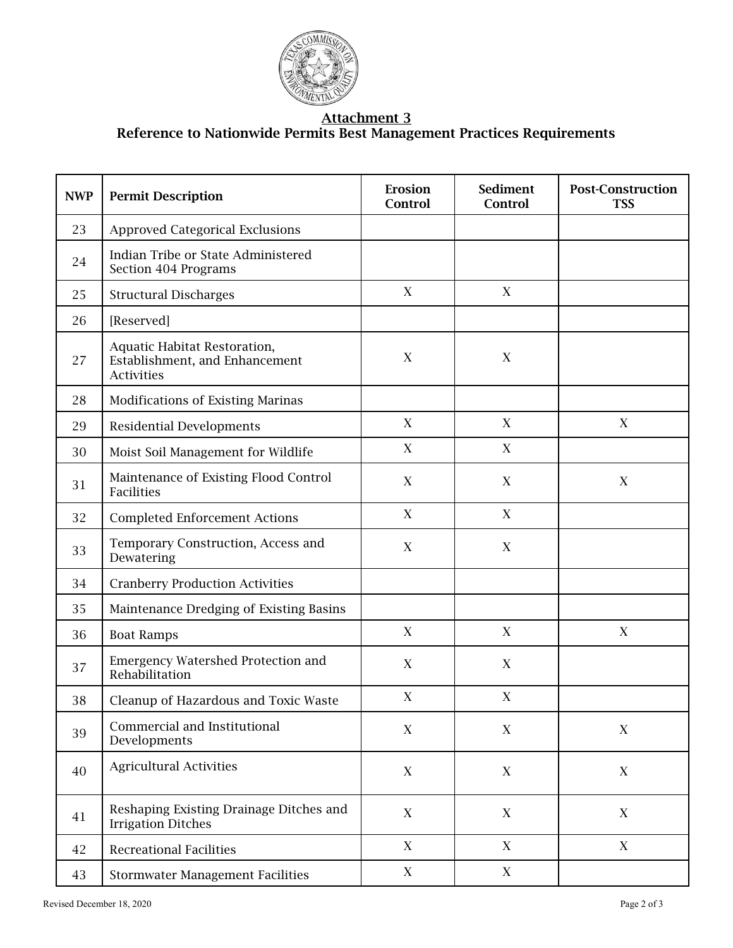

#### Attachment 3 Reference to Nationwide Permits Best Management Practices Requirements

| <b>NWP</b> | <b>Permit Description</b>                                                           | Erosion<br>Control | <b>Sediment</b><br>Control | <b>Post-Construction</b><br><b>TSS</b> |
|------------|-------------------------------------------------------------------------------------|--------------------|----------------------------|----------------------------------------|
| 23         | <b>Approved Categorical Exclusions</b>                                              |                    |                            |                                        |
| 24         | Indian Tribe or State Administered<br>Section 404 Programs                          |                    |                            |                                        |
| 25         | <b>Structural Discharges</b>                                                        | $\mathbf X$        | X                          |                                        |
| 26         | [Reserved]                                                                          |                    |                            |                                        |
| 27         | Aquatic Habitat Restoration,<br>Establishment, and Enhancement<br><b>Activities</b> | X                  | X                          |                                        |
| 28         | Modifications of Existing Marinas                                                   |                    |                            |                                        |
| 29         | <b>Residential Developments</b>                                                     | $\mathbf X$        | X                          | $\mathbf X$                            |
| 30         | Moist Soil Management for Wildlife                                                  | $\mathbf X$        | X                          |                                        |
| 31         | Maintenance of Existing Flood Control<br><b>Facilities</b>                          | $\boldsymbol{X}$   | $\mathbf X$                | $\mathbf X$                            |
| 32         | <b>Completed Enforcement Actions</b>                                                | $\mathbf X$        | X                          |                                        |
| 33         | Temporary Construction, Access and<br>Dewatering                                    | $\mathbf X$        | $\mathbf X$                |                                        |
| 34         | <b>Cranberry Production Activities</b>                                              |                    |                            |                                        |
| 35         | Maintenance Dredging of Existing Basins                                             |                    |                            |                                        |
| 36         | <b>Boat Ramps</b>                                                                   | $\mathbf X$        | X                          | $\mathbf X$                            |
| 37         | <b>Emergency Watershed Protection and</b><br>Rehabilitation                         | $\mathbf X$        | $\mathbf X$                |                                        |
| 38         | Cleanup of Hazardous and Toxic Waste                                                | $\mathbf X$        | $\mathbf X$                |                                        |
| 39         | Commercial and Institutional<br>Developments                                        | X                  | X                          | X                                      |
| 40         | <b>Agricultural Activities</b>                                                      | $\mathbf X$        | $\mathbf X$                | X                                      |
| 41         | Reshaping Existing Drainage Ditches and<br><b>Irrigation Ditches</b>                | X                  | X                          | X                                      |
| 42         | <b>Recreational Facilities</b>                                                      | X                  | X                          | X                                      |
| 43         | <b>Stormwater Management Facilities</b>                                             | X                  | X                          |                                        |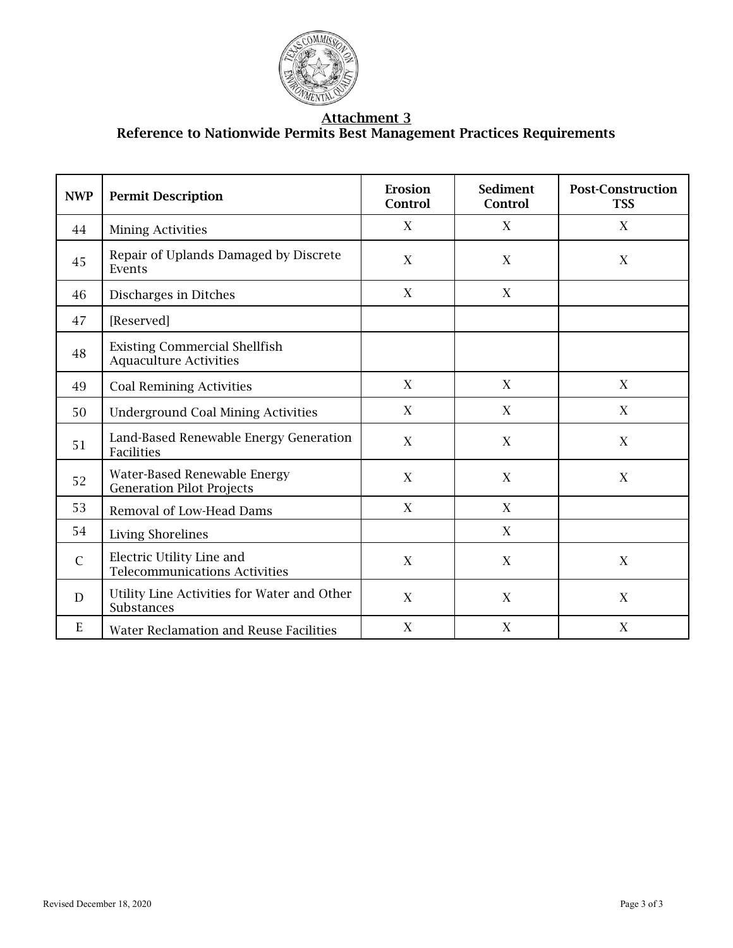

#### Attachment 3 Reference to Nationwide Permits Best Management Practices Requirements

| <b>NWP</b>   | <b>Permit Description</b>                                             | Erosion<br>Control        | <b>Sediment</b><br>Control | <b>Post-Construction</b><br><b>TSS</b> |
|--------------|-----------------------------------------------------------------------|---------------------------|----------------------------|----------------------------------------|
| 44           | <b>Mining Activities</b>                                              | X                         | X                          | X                                      |
| 45           | Repair of Uplands Damaged by Discrete<br>Events                       | X                         | $\boldsymbol{X}$           | X                                      |
| 46           | Discharges in Ditches                                                 | X                         | X                          |                                        |
| 47           | [Reserved]                                                            |                           |                            |                                        |
| 48           | <b>Existing Commercial Shellfish</b><br><b>Aquaculture Activities</b> |                           |                            |                                        |
| 49           | <b>Coal Remining Activities</b>                                       | X                         | X                          | X                                      |
| 50           | <b>Underground Coal Mining Activities</b>                             | X                         | $\mathbf X$                | X                                      |
| 51           | Land-Based Renewable Energy Generation<br>Facilities                  | X                         | $\mathbf X$                | X                                      |
| 52           | Water-Based Renewable Energy<br><b>Generation Pilot Projects</b>      | X                         | $\mathbf X$                | X                                      |
| 53           | Removal of Low-Head Dams                                              | X                         | X                          |                                        |
| 54           | <b>Living Shorelines</b>                                              |                           | X                          |                                        |
| $\mathsf{C}$ | Electric Utility Line and<br><b>Telecommunications Activities</b>     | $\boldsymbol{\mathrm{X}}$ | $\mathbf X$                | $\mathbf X$                            |
| D            | Utility Line Activities for Water and Other<br>Substances             | X                         | X                          | X                                      |
| E            | <b>Water Reclamation and Reuse Facilities</b>                         | X                         | X                          | X                                      |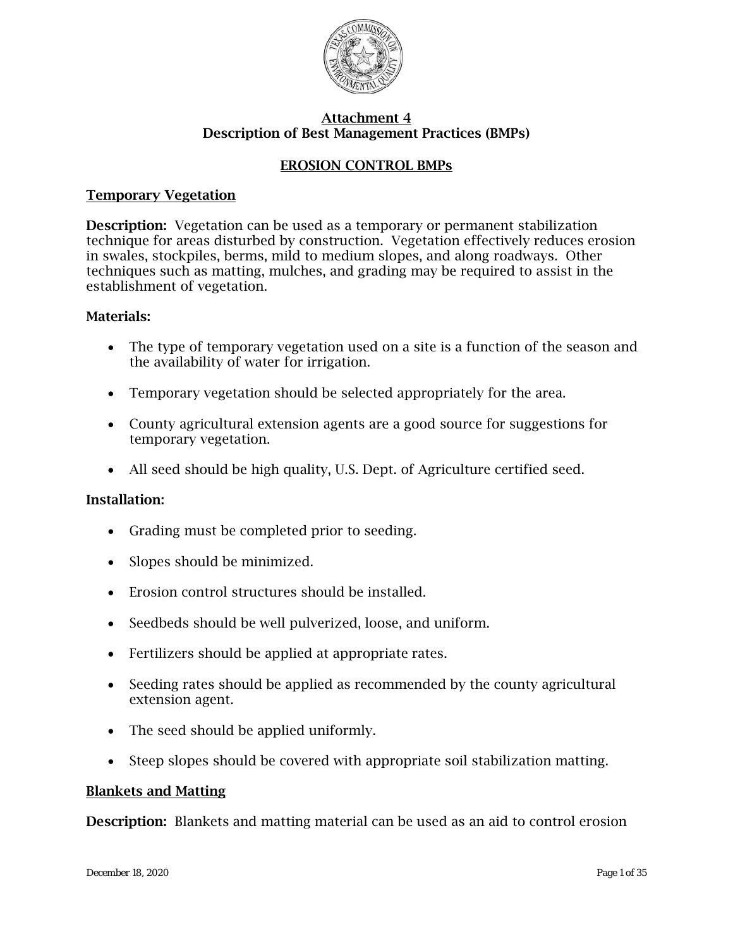

## EROSION CONTROL BMPs

## Temporary Vegetation

Description: Vegetation can be used as a temporary or permanent stabilization technique for areas disturbed by construction. Vegetation effectively reduces erosion in swales, stockpiles, berms, mild to medium slopes, and along roadways. Other techniques such as matting, mulches, and grading may be required to assist in the establishment of vegetation.

## Materials:

- The type of temporary vegetation used on a site is a function of the season and the availability of water for irrigation.
- Temporary vegetation should be selected appropriately for the area.
- County agricultural extension agents are a good source for suggestions for temporary vegetation.
- All seed should be high quality, U.S. Dept. of Agriculture certified seed.

## Installation:

- Grading must be completed prior to seeding.
- Slopes should be minimized.
- Erosion control structures should be installed.
- Seedbeds should be well pulverized, loose, and uniform.
- Fertilizers should be applied at appropriate rates.
- Seeding rates should be applied as recommended by the county agricultural extension agent.
- The seed should be applied uniformly.
- Steep slopes should be covered with appropriate soil stabilization matting.

## Blankets and Matting

Description: Blankets and matting material can be used as an aid to control erosion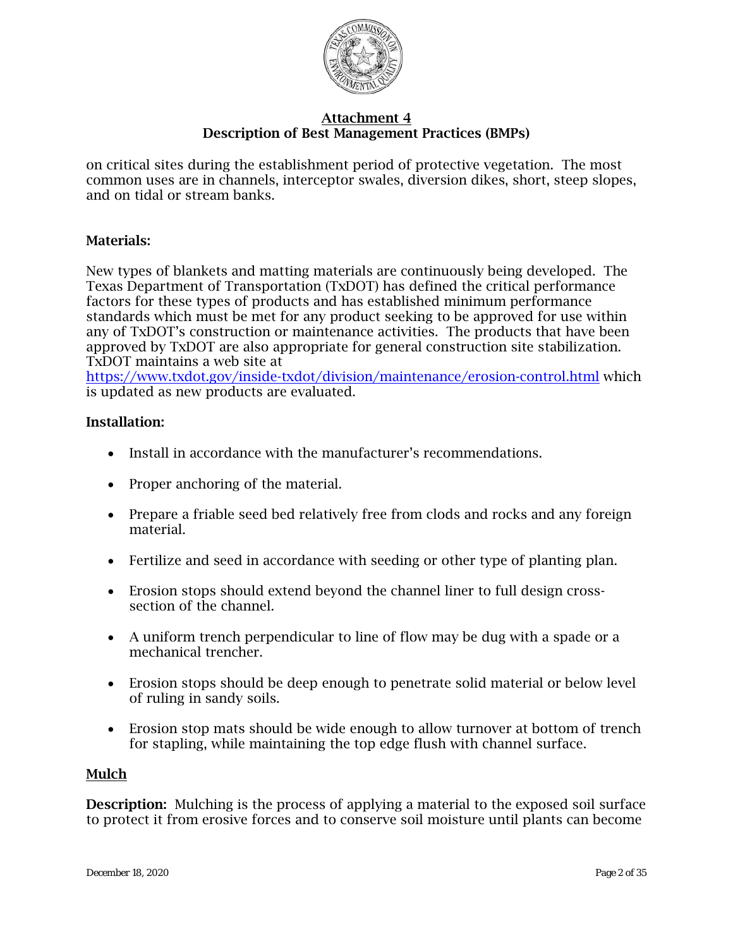

on critical sites during the establishment period of protective vegetation. The most common uses are in channels, interceptor swales, diversion dikes, short, steep slopes, and on tidal or stream banks.

## Materials:

New types of blankets and matting materials are continuously being developed. The Texas Department of Transportation (TxDOT) has defined the critical performance factors for these types of products and has established minimum performance standards which must be met for any product seeking to be approved for use within any of TxDOT's construction or maintenance activities. The products that have been approved by TxDOT are also appropriate for general construction site stabilization. TxDOT maintains a web site at

<https://www.txdot.gov/inside-txdot/division/maintenance/erosion-control.html> which is updated as new products are evaluated.

## Installation:

- Install in accordance with the manufacturer's recommendations.
- Proper anchoring of the material.
- Prepare a friable seed bed relatively free from clods and rocks and any foreign material.
- Fertilize and seed in accordance with seeding or other type of planting plan.
- Erosion stops should extend beyond the channel liner to full design crosssection of the channel.
- A uniform trench perpendicular to line of flow may be dug with a spade or a mechanical trencher.
- Erosion stops should be deep enough to penetrate solid material or below level of ruling in sandy soils.
- Erosion stop mats should be wide enough to allow turnover at bottom of trench for stapling, while maintaining the top edge flush with channel surface.

## Mulch

**Description:** Mulching is the process of applying a material to the exposed soil surface to protect it from erosive forces and to conserve soil moisture until plants can become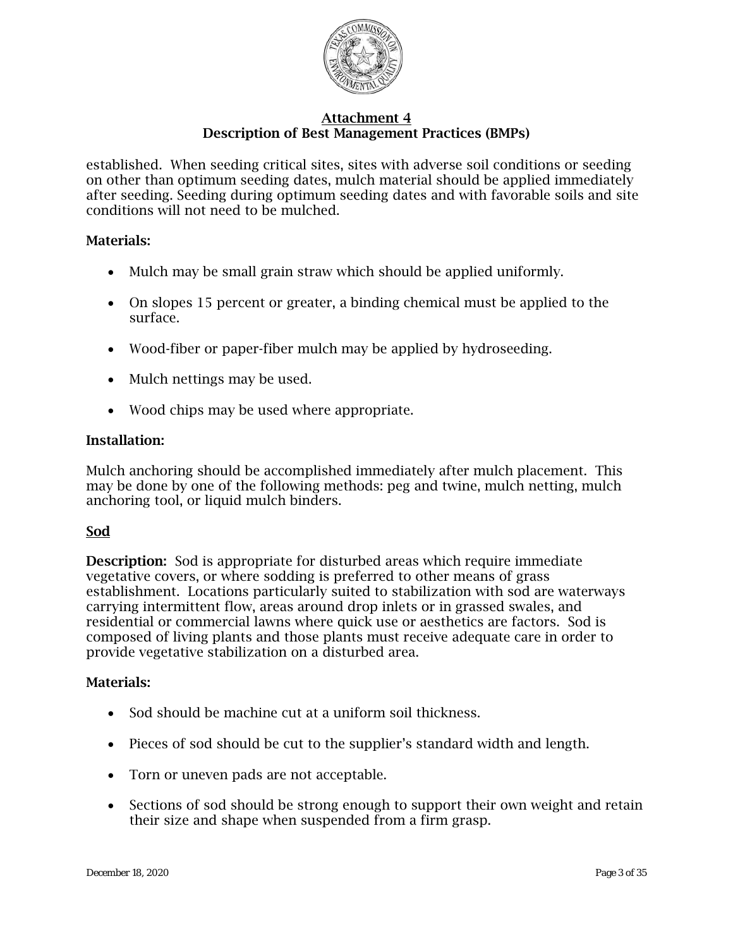

established. When seeding critical sites, sites with adverse soil conditions or seeding on other than optimum seeding dates, mulch material should be applied immediately after seeding. Seeding during optimum seeding dates and with favorable soils and site conditions will not need to be mulched.

## Materials:

- Mulch may be small grain straw which should be applied uniformly.
- On slopes 15 percent or greater, a binding chemical must be applied to the surface.
- Wood-fiber or paper-fiber mulch may be applied by hydroseeding.
- Mulch nettings may be used.
- Wood chips may be used where appropriate.

## Installation:

Mulch anchoring should be accomplished immediately after mulch placement. This may be done by one of the following methods: peg and twine, mulch netting, mulch anchoring tool, or liquid mulch binders.

## Sod

Description: Sod is appropriate for disturbed areas which require immediate vegetative covers, or where sodding is preferred to other means of grass establishment. Locations particularly suited to stabilization with sod are waterways carrying intermittent flow, areas around drop inlets or in grassed swales, and residential or commercial lawns where quick use or aesthetics are factors. Sod is composed of living plants and those plants must receive adequate care in order to provide vegetative stabilization on a disturbed area.

## Materials:

- Sod should be machine cut at a uniform soil thickness.
- Pieces of sod should be cut to the supplier's standard width and length.
- Torn or uneven pads are not acceptable.
- Sections of sod should be strong enough to support their own weight and retain their size and shape when suspended from a firm grasp.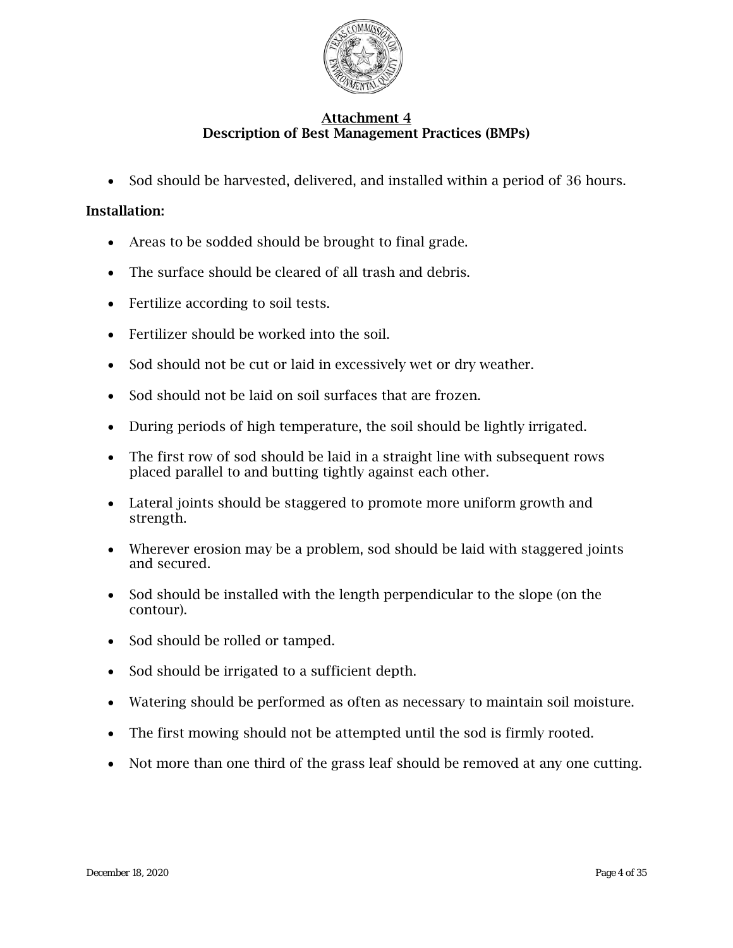

• Sod should be harvested, delivered, and installed within a period of 36 hours.

- Areas to be sodded should be brought to final grade.
- The surface should be cleared of all trash and debris.
- Fertilize according to soil tests.
- Fertilizer should be worked into the soil.
- Sod should not be cut or laid in excessively wet or dry weather.
- Sod should not be laid on soil surfaces that are frozen.
- During periods of high temperature, the soil should be lightly irrigated.
- The first row of sod should be laid in a straight line with subsequent rows placed parallel to and butting tightly against each other.
- Lateral joints should be staggered to promote more uniform growth and strength.
- Wherever erosion may be a problem, sod should be laid with staggered joints and secured.
- Sod should be installed with the length perpendicular to the slope (on the contour).
- Sod should be rolled or tamped.
- Sod should be irrigated to a sufficient depth.
- Watering should be performed as often as necessary to maintain soil moisture.
- The first mowing should not be attempted until the sod is firmly rooted.
- Not more than one third of the grass leaf should be removed at any one cutting.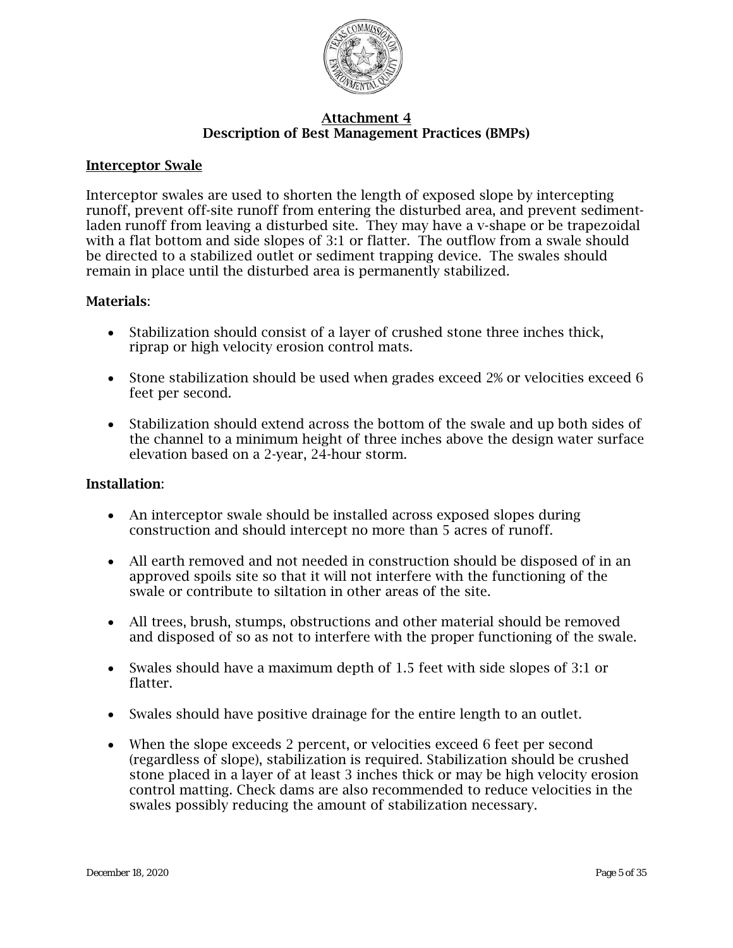

#### Interceptor Swale

Interceptor swales are used to shorten the length of exposed slope by intercepting runoff, prevent off-site runoff from entering the disturbed area, and prevent sedimentladen runoff from leaving a disturbed site. They may have a v-shape or be trapezoidal with a flat bottom and side slopes of 3:1 or flatter. The outflow from a swale should be directed to a stabilized outlet or sediment trapping device. The swales should remain in place until the disturbed area is permanently stabilized.

#### Materials:

- Stabilization should consist of a layer of crushed stone three inches thick, riprap or high velocity erosion control mats.
- Stone stabilization should be used when grades exceed 2% or velocities exceed 6 feet per second.
- Stabilization should extend across the bottom of the swale and up both sides of the channel to a minimum height of three inches above the design water surface elevation based on a 2-year, 24-hour storm.

- An interceptor swale should be installed across exposed slopes during construction and should intercept no more than 5 acres of runoff.
- All earth removed and not needed in construction should be disposed of in an approved spoils site so that it will not interfere with the functioning of the swale or contribute to siltation in other areas of the site.
- All trees, brush, stumps, obstructions and other material should be removed and disposed of so as not to interfere with the proper functioning of the swale.
- Swales should have a maximum depth of 1.5 feet with side slopes of 3:1 or flatter.
- Swales should have positive drainage for the entire length to an outlet.
- When the slope exceeds 2 percent, or velocities exceed 6 feet per second (regardless of slope), stabilization is required. Stabilization should be crushed stone placed in a layer of at least 3 inches thick or may be high velocity erosion control matting. Check dams are also recommended to reduce velocities in the swales possibly reducing the amount of stabilization necessary.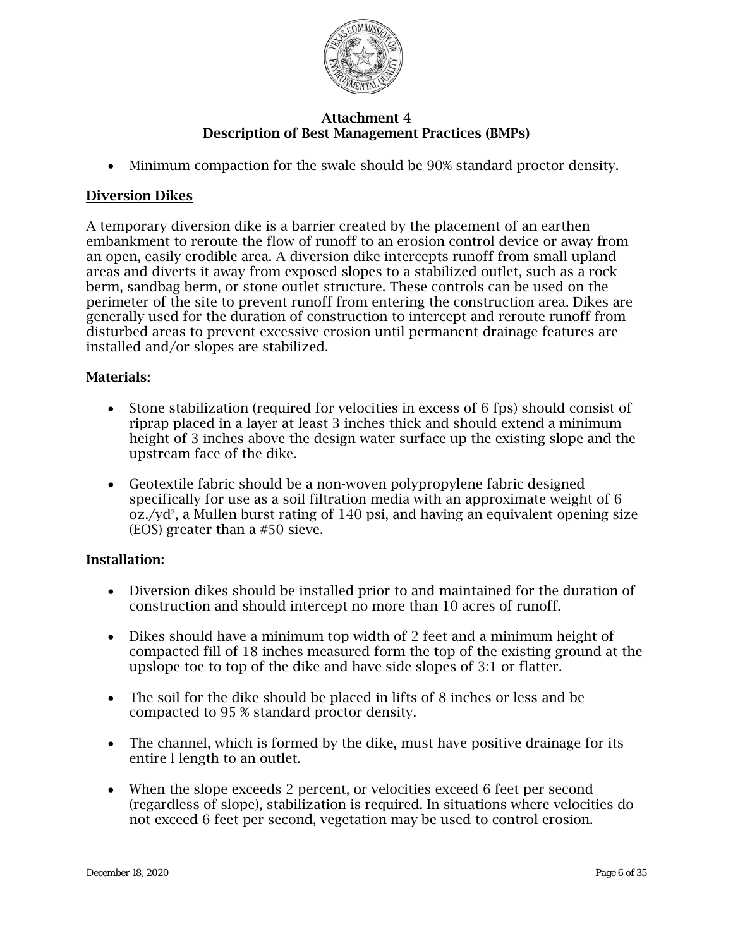

• Minimum compaction for the swale should be 90% standard proctor density.

## Diversion Dikes

A temporary diversion dike is a barrier created by the placement of an earthen embankment to reroute the flow of runoff to an erosion control device or away from an open, easily erodible area. A diversion dike intercepts runoff from small upland areas and diverts it away from exposed slopes to a stabilized outlet, such as a rock berm, sandbag berm, or stone outlet structure. These controls can be used on the perimeter of the site to prevent runoff from entering the construction area. Dikes are generally used for the duration of construction to intercept and reroute runoff from disturbed areas to prevent excessive erosion until permanent drainage features are installed and/or slopes are stabilized.

## Materials:

- Stone stabilization (required for velocities in excess of 6 fps) should consist of riprap placed in a layer at least 3 inches thick and should extend a minimum height of 3 inches above the design water surface up the existing slope and the upstream face of the dike.
- Geotextile fabric should be a non-woven polypropylene fabric designed specifically for use as a soil filtration media with an approximate weight of 6  $oz./yd^2$ , a Mullen burst rating of 140 psi, and having an equivalent opening size (EOS) greater than a #50 sieve.

- Diversion dikes should be installed prior to and maintained for the duration of construction and should intercept no more than 10 acres of runoff.
- Dikes should have a minimum top width of 2 feet and a minimum height of compacted fill of 18 inches measured form the top of the existing ground at the upslope toe to top of the dike and have side slopes of 3:1 or flatter.
- The soil for the dike should be placed in lifts of 8 inches or less and be compacted to 95 % standard proctor density.
- The channel, which is formed by the dike, must have positive drainage for its entire l length to an outlet.
- When the slope exceeds 2 percent, or velocities exceed 6 feet per second (regardless of slope), stabilization is required. In situations where velocities do not exceed 6 feet per second, vegetation may be used to control erosion.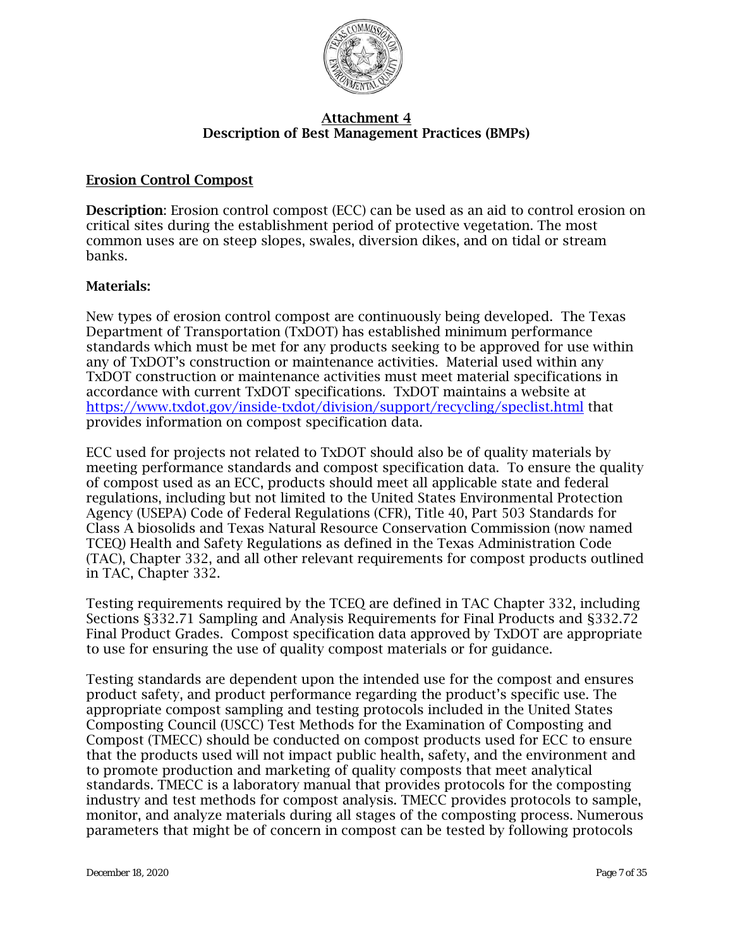

## Erosion Control Compost

Description: Erosion control compost (ECC) can be used as an aid to control erosion on critical sites during the establishment period of protective vegetation. The most common uses are on steep slopes, swales, diversion dikes, and on tidal or stream banks.

## Materials:

New types of erosion control compost are continuously being developed. The Texas Department of Transportation (TxDOT) has established minimum performance standards which must be met for any products seeking to be approved for use within any of TxDOT's construction or maintenance activities. Material used within any TxDOT construction or maintenance activities must meet material specifications in accordance with current TxDOT specifications. TxDOT maintains a website at <https://www.txdot.gov/inside-txdot/division/support/recycling/speclist.html> that provides information on compost specification data.

ECC used for projects not related to TxDOT should also be of quality materials by meeting performance standards and compost specification data. To ensure the quality of compost used as an ECC, products should meet all applicable state and federal regulations, including but not limited to the United States Environmental Protection Agency (USEPA) Code of Federal Regulations (CFR), Title 40, Part 503 Standards for Class A biosolids and Texas Natural Resource Conservation Commission (now named TCEQ) Health and Safety Regulations as defined in the Texas Administration Code (TAC), Chapter 332, and all other relevant requirements for compost products outlined in TAC, Chapter 332.

Testing requirements required by the TCEQ are defined in TAC Chapter 332, including Sections §332.71 Sampling and Analysis Requirements for Final Products and §332.72 Final Product Grades. Compost specification data approved by TxDOT are appropriate to use for ensuring the use of quality compost materials or for guidance.

Testing standards are dependent upon the intended use for the compost and ensures product safety, and product performance regarding the product's specific use. The appropriate compost sampling and testing protocols included in the United States Composting Council (USCC) Test Methods for the Examination of Composting and Compost (TMECC) should be conducted on compost products used for ECC to ensure that the products used will not impact public health, safety, and the environment and to promote production and marketing of quality composts that meet analytical standards. TMECC is a laboratory manual that provides protocols for the composting industry and test methods for compost analysis. TMECC provides protocols to sample, monitor, and analyze materials during all stages of the composting process. Numerous parameters that might be of concern in compost can be tested by following protocols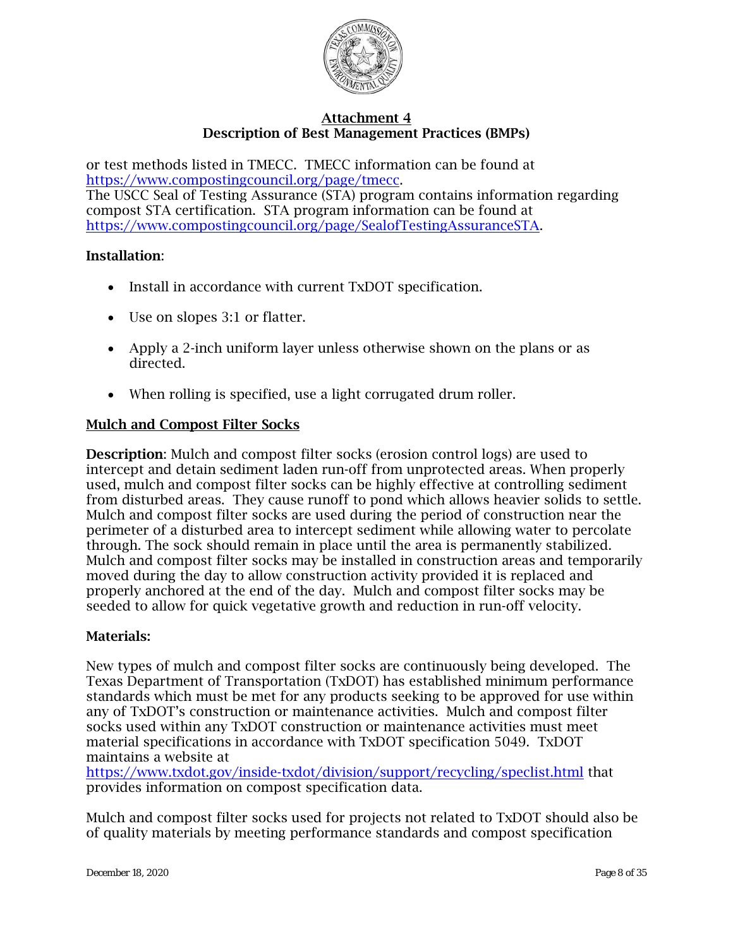

or test methods listed in TMECC. TMECC information can be found at [https://www.compostingcouncil.org/page/tmecc.](https://www.compostingcouncil.org/page/tmecc) The USCC Seal of Testing Assurance (STA) program contains information regarding compost STA certification. STA program information can be found at [https://www.compostingcouncil.org/page/SealofTestingAssuranceSTA.](https://www.compostingcouncil.org/page/SealofTestingAssuranceSTA)

#### Installation:

- Install in accordance with current TxDOT specification.
- Use on slopes 3:1 or flatter.
- Apply a 2-inch uniform layer unless otherwise shown on the plans or as directed.
- When rolling is specified, use a light corrugated drum roller.

#### Mulch and Compost Filter Socks

Description: Mulch and compost filter socks (erosion control logs) are used to intercept and detain sediment laden run-off from unprotected areas. When properly used, mulch and compost filter socks can be highly effective at controlling sediment from disturbed areas. They cause runoff to pond which allows heavier solids to settle. Mulch and compost filter socks are used during the period of construction near the perimeter of a disturbed area to intercept sediment while allowing water to percolate through. The sock should remain in place until the area is permanently stabilized. Mulch and compost filter socks may be installed in construction areas and temporarily moved during the day to allow construction activity provided it is replaced and properly anchored at the end of the day. Mulch and compost filter socks may be seeded to allow for quick vegetative growth and reduction in run-off velocity.

#### Materials:

New types of mulch and compost filter socks are continuously being developed. The Texas Department of Transportation (TxDOT) has established minimum performance standards which must be met for any products seeking to be approved for use within any of TxDOT's construction or maintenance activities. Mulch and compost filter socks used within any TxDOT construction or maintenance activities must meet material specifications in accordance with TxDOT specification 5049. TxDOT maintains a website at

<https://www.txdot.gov/inside-txdot/division/support/recycling/speclist.html> that provides information on compost specification data.

Mulch and compost filter socks used for projects not related to TxDOT should also be of quality materials by meeting performance standards and compost specification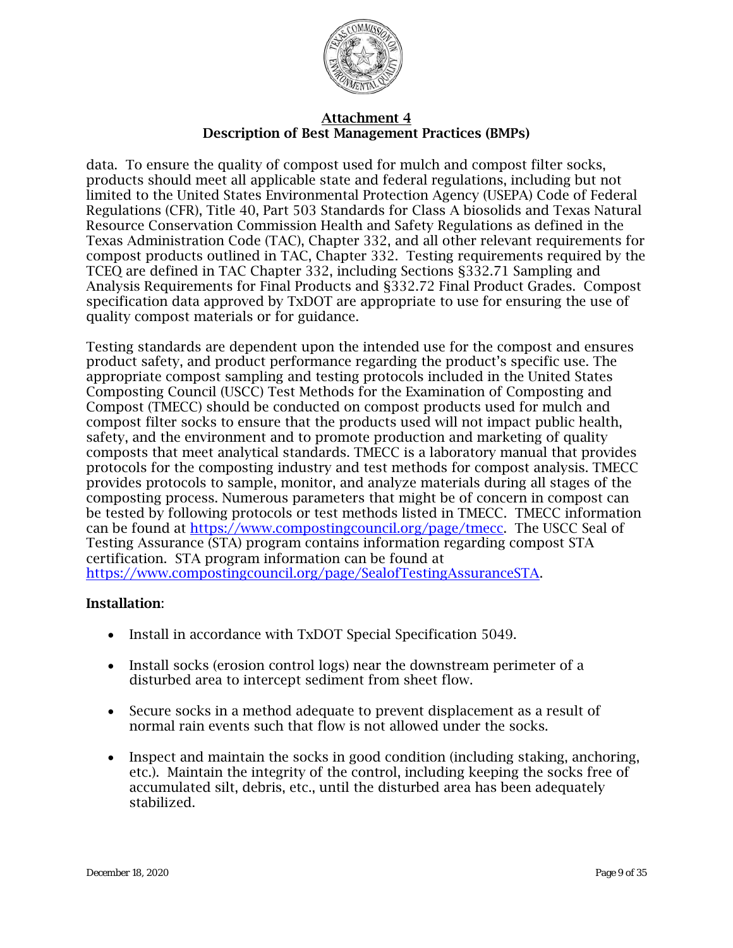

data. To ensure the quality of compost used for mulch and compost filter socks, products should meet all applicable state and federal regulations, including but not limited to the United States Environmental Protection Agency (USEPA) Code of Federal Regulations (CFR), Title 40, Part 503 Standards for Class A biosolids and Texas Natural Resource Conservation Commission Health and Safety Regulations as defined in the Texas Administration Code (TAC), Chapter 332, and all other relevant requirements for compost products outlined in TAC, Chapter 332. Testing requirements required by the TCEQ are defined in TAC Chapter 332, including Sections §332.71 Sampling and Analysis Requirements for Final Products and §332.72 Final Product Grades. Compost specification data approved by TxDOT are appropriate to use for ensuring the use of quality compost materials or for guidance.

Testing standards are dependent upon the intended use for the compost and ensures product safety, and product performance regarding the product's specific use. The appropriate compost sampling and testing protocols included in the United States Composting Council (USCC) Test Methods for the Examination of Composting and Compost (TMECC) should be conducted on compost products used for mulch and compost filter socks to ensure that the products used will not impact public health, safety, and the environment and to promote production and marketing of quality composts that meet analytical standards. TMECC is a laboratory manual that provides protocols for the composting industry and test methods for compost analysis. TMECC provides protocols to sample, monitor, and analyze materials during all stages of the composting process. Numerous parameters that might be of concern in compost can be tested by following protocols or test methods listed in TMECC. TMECC information can be found at [https://www.compostingcouncil.org/page/tmecc.](http://www.tmecc.org/tmecc/index.html) The USCC Seal of Testing Assurance (STA) program contains information regarding compost STA certification. STA program information can be found at [https://www.compostingcouncil.org/page/SealofTestingAssuranceSTA.](http://tmecc.org/sta/STA_program_description.html)

- Install in accordance with TxDOT Special Specification 5049.
- Install socks (erosion control logs) near the downstream perimeter of a disturbed area to intercept sediment from sheet flow.
- Secure socks in a method adequate to prevent displacement as a result of normal rain events such that flow is not allowed under the socks.
- Inspect and maintain the socks in good condition (including staking, anchoring, etc.). Maintain the integrity of the control, including keeping the socks free of accumulated silt, debris, etc., until the disturbed area has been adequately stabilized.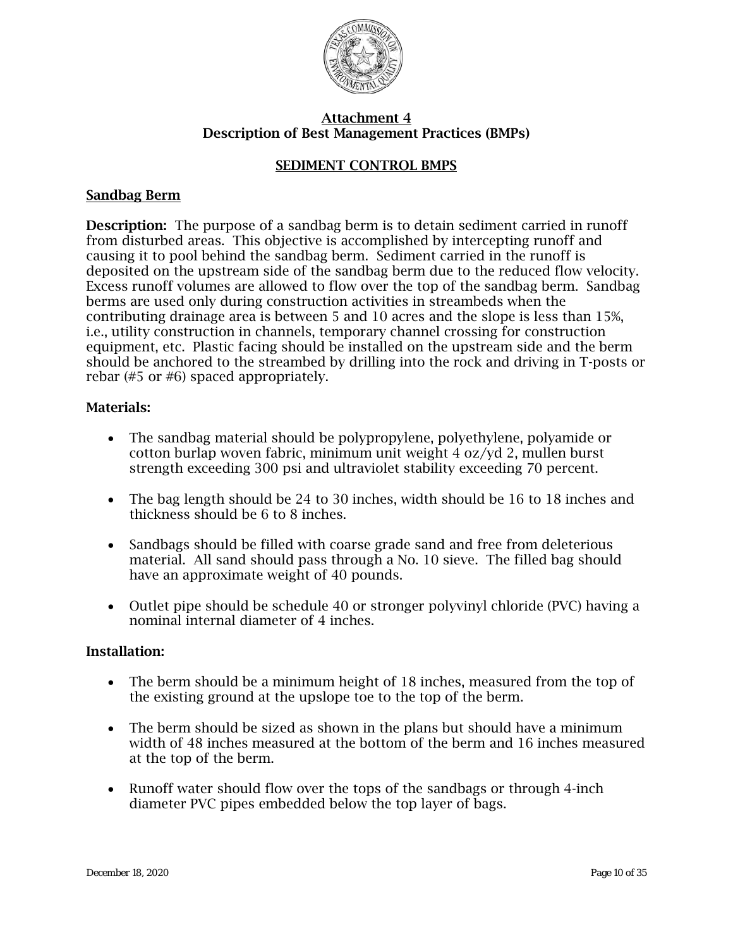

## SEDIMENT CONTROL BMPS

#### Sandbag Berm

Description: The purpose of a sandbag berm is to detain sediment carried in runoff from disturbed areas. This objective is accomplished by intercepting runoff and causing it to pool behind the sandbag berm. Sediment carried in the runoff is deposited on the upstream side of the sandbag berm due to the reduced flow velocity. Excess runoff volumes are allowed to flow over the top of the sandbag berm. Sandbag berms are used only during construction activities in streambeds when the contributing drainage area is between 5 and 10 acres and the slope is less than 15%, i.e., utility construction in channels, temporary channel crossing for construction equipment, etc. Plastic facing should be installed on the upstream side and the berm should be anchored to the streambed by drilling into the rock and driving in T-posts or rebar (#5 or #6) spaced appropriately.

#### Materials:

- The sandbag material should be polypropylene, polyethylene, polyamide or cotton burlap woven fabric, minimum unit weight 4 oz/yd 2, mullen burst strength exceeding 300 psi and ultraviolet stability exceeding 70 percent.
- The bag length should be 24 to 30 inches, width should be 16 to 18 inches and thickness should be 6 to 8 inches.
- Sandbags should be filled with coarse grade sand and free from deleterious material. All sand should pass through a No. 10 sieve. The filled bag should have an approximate weight of 40 pounds.
- Outlet pipe should be schedule 40 or stronger polyvinyl chloride (PVC) having a nominal internal diameter of 4 inches.

- The berm should be a minimum height of 18 inches, measured from the top of the existing ground at the upslope toe to the top of the berm.
- The berm should be sized as shown in the plans but should have a minimum width of 48 inches measured at the bottom of the berm and 16 inches measured at the top of the berm.
- Runoff water should flow over the tops of the sandbags or through 4-inch diameter PVC pipes embedded below the top layer of bags.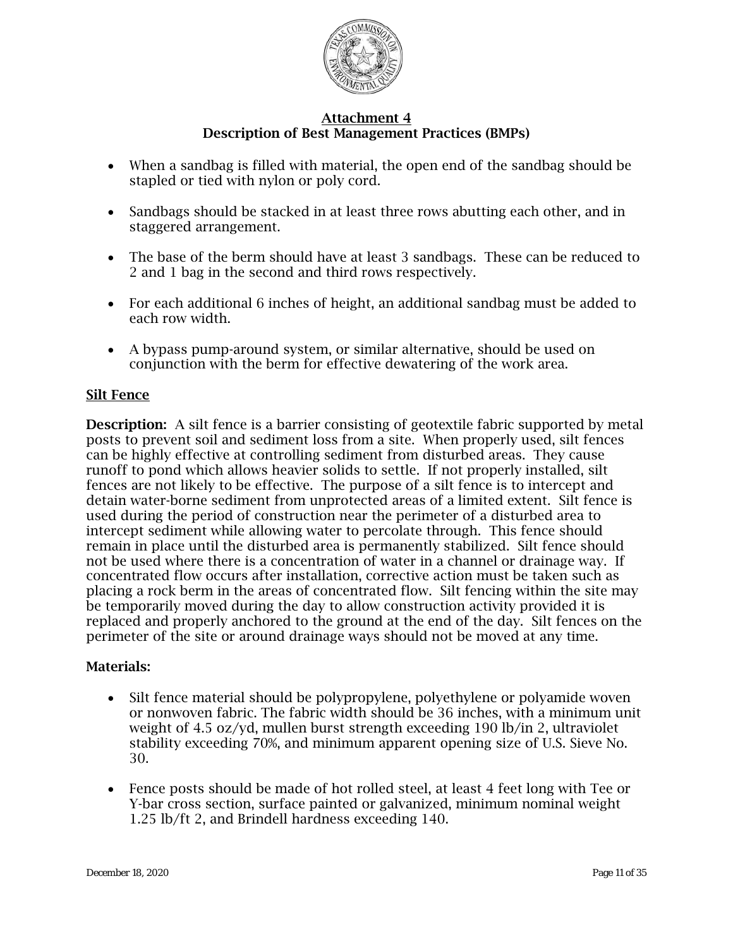

- When a sandbag is filled with material, the open end of the sandbag should be stapled or tied with nylon or poly cord.
- Sandbags should be stacked in at least three rows abutting each other, and in staggered arrangement.
- The base of the berm should have at least 3 sandbags. These can be reduced to 2 and 1 bag in the second and third rows respectively.
- For each additional 6 inches of height, an additional sandbag must be added to each row width.
- A bypass pump-around system, or similar alternative, should be used on conjunction with the berm for effective dewatering of the work area.

## Silt Fence

Description: A silt fence is a barrier consisting of geotextile fabric supported by metal posts to prevent soil and sediment loss from a site. When properly used, silt fences can be highly effective at controlling sediment from disturbed areas. They cause runoff to pond which allows heavier solids to settle. If not properly installed, silt fences are not likely to be effective. The purpose of a silt fence is to intercept and detain water-borne sediment from unprotected areas of a limited extent. Silt fence is used during the period of construction near the perimeter of a disturbed area to intercept sediment while allowing water to percolate through. This fence should remain in place until the disturbed area is permanently stabilized. Silt fence should not be used where there is a concentration of water in a channel or drainage way. If concentrated flow occurs after installation, corrective action must be taken such as placing a rock berm in the areas of concentrated flow. Silt fencing within the site may be temporarily moved during the day to allow construction activity provided it is replaced and properly anchored to the ground at the end of the day. Silt fences on the perimeter of the site or around drainage ways should not be moved at any time.

## Materials:

- Silt fence material should be polypropylene, polyethylene or polyamide woven or nonwoven fabric. The fabric width should be 36 inches, with a minimum unit weight of 4.5 oz/yd, mullen burst strength exceeding 190 lb/in 2, ultraviolet stability exceeding 70%, and minimum apparent opening size of U.S. Sieve No. 30.
- Fence posts should be made of hot rolled steel, at least 4 feet long with Tee or Y-bar cross section, surface painted or galvanized, minimum nominal weight 1.25 lb/ft 2, and Brindell hardness exceeding 140.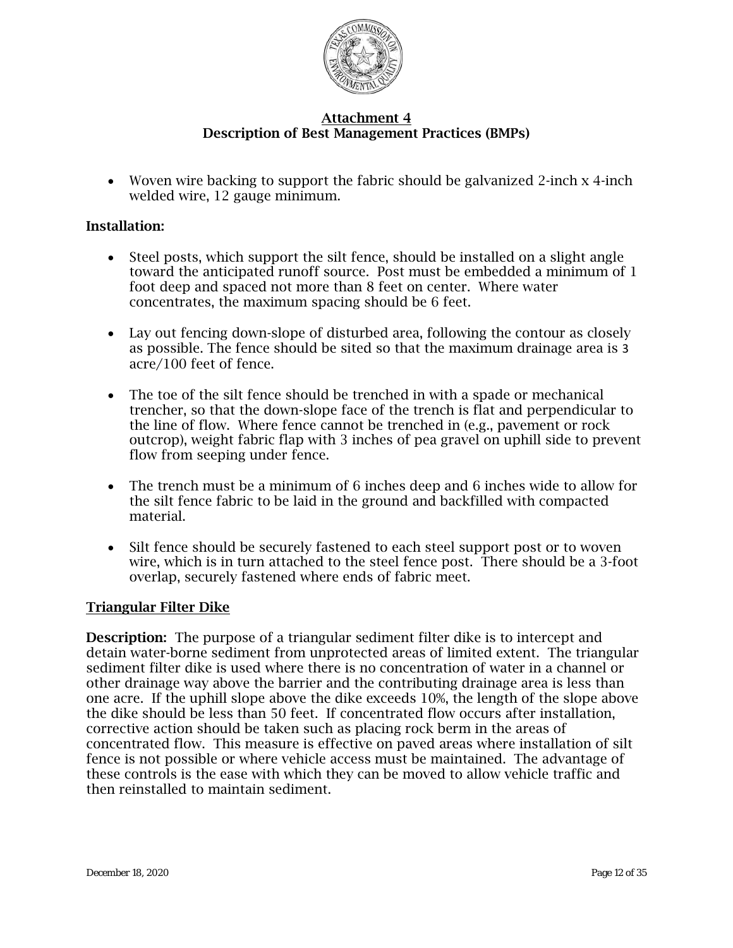

• Woven wire backing to support the fabric should be galvanized 2-inch x 4-inch welded wire, 12 gauge minimum.

### Installation:

- Steel posts, which support the silt fence, should be installed on a slight angle toward the anticipated runoff source. Post must be embedded a minimum of 1 foot deep and spaced not more than 8 feet on center. Where water concentrates, the maximum spacing should be 6 feet.
- Lay out fencing down-slope of disturbed area, following the contour as closely as possible. The fence should be sited so that the maximum drainage area is 3 acre/100 feet of fence.
- The toe of the silt fence should be trenched in with a spade or mechanical trencher, so that the down-slope face of the trench is flat and perpendicular to the line of flow. Where fence cannot be trenched in (e.g., pavement or rock outcrop), weight fabric flap with 3 inches of pea gravel on uphill side to prevent flow from seeping under fence.
- The trench must be a minimum of 6 inches deep and 6 inches wide to allow for the silt fence fabric to be laid in the ground and backfilled with compacted material.
- Silt fence should be securely fastened to each steel support post or to woven wire, which is in turn attached to the steel fence post. There should be a 3-foot overlap, securely fastened where ends of fabric meet.

#### Triangular Filter Dike

Description: The purpose of a triangular sediment filter dike is to intercept and detain water-borne sediment from unprotected areas of limited extent. The triangular sediment filter dike is used where there is no concentration of water in a channel or other drainage way above the barrier and the contributing drainage area is less than one acre. If the uphill slope above the dike exceeds 10%, the length of the slope above the dike should be less than 50 feet. If concentrated flow occurs after installation, corrective action should be taken such as placing rock berm in the areas of concentrated flow. This measure is effective on paved areas where installation of silt fence is not possible or where vehicle access must be maintained. The advantage of these controls is the ease with which they can be moved to allow vehicle traffic and then reinstalled to maintain sediment.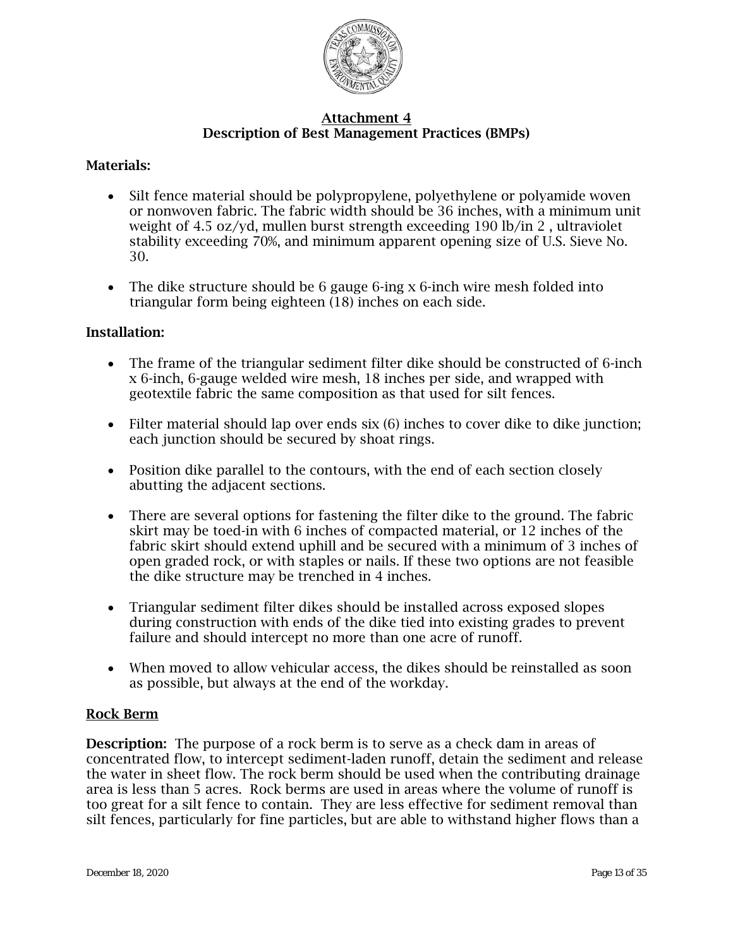

## Materials:

- Silt fence material should be polypropylene, polyethylene or polyamide woven or nonwoven fabric. The fabric width should be 36 inches, with a minimum unit weight of 4.5 oz/yd, mullen burst strength exceeding 190 lb/in 2 , ultraviolet stability exceeding 70%, and minimum apparent opening size of U.S. Sieve No. 30.
- The dike structure should be 6 gauge 6-ing x 6-inch wire mesh folded into triangular form being eighteen (18) inches on each side.

#### Installation:

- The frame of the triangular sediment filter dike should be constructed of 6-inch x 6-inch, 6-gauge welded wire mesh, 18 inches per side, and wrapped with geotextile fabric the same composition as that used for silt fences.
- Filter material should lap over ends  $six(6)$  inches to cover dike to dike junction; each junction should be secured by shoat rings.
- Position dike parallel to the contours, with the end of each section closely abutting the adjacent sections.
- There are several options for fastening the filter dike to the ground. The fabric skirt may be toed-in with 6 inches of compacted material, or 12 inches of the fabric skirt should extend uphill and be secured with a minimum of 3 inches of open graded rock, or with staples or nails. If these two options are not feasible the dike structure may be trenched in 4 inches.
- Triangular sediment filter dikes should be installed across exposed slopes during construction with ends of the dike tied into existing grades to prevent failure and should intercept no more than one acre of runoff.
- When moved to allow vehicular access, the dikes should be reinstalled as soon as possible, but always at the end of the workday.

#### Rock Berm

Description: The purpose of a rock berm is to serve as a check dam in areas of concentrated flow, to intercept sediment-laden runoff, detain the sediment and release the water in sheet flow. The rock berm should be used when the contributing drainage area is less than 5 acres. Rock berms are used in areas where the volume of runoff is too great for a silt fence to contain. They are less effective for sediment removal than silt fences, particularly for fine particles, but are able to withstand higher flows than a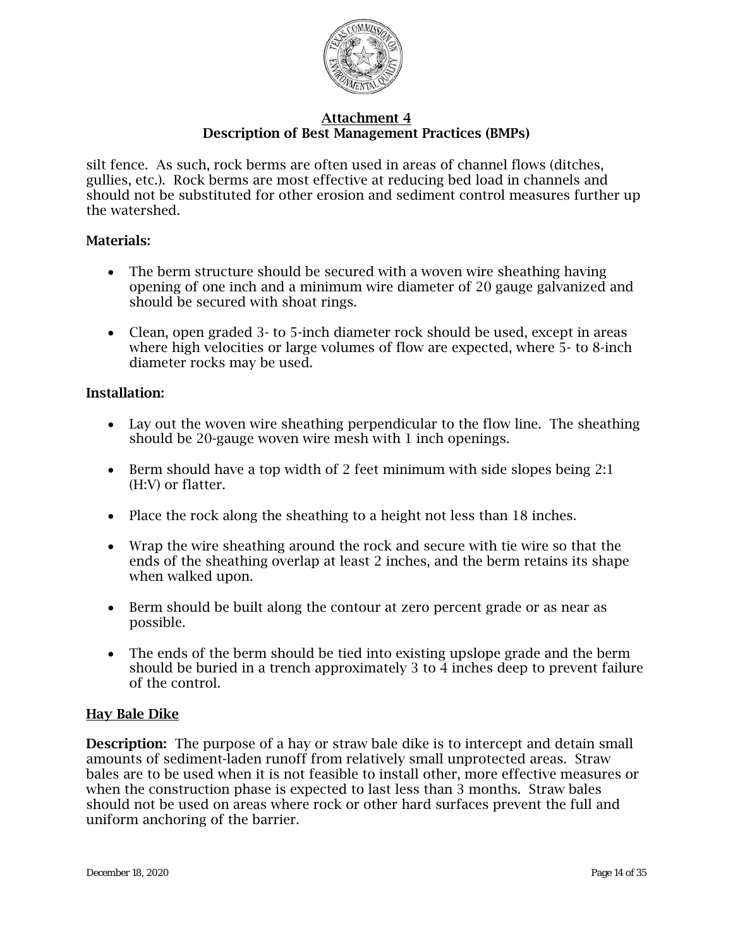

silt fence. As such, rock berms are often used in areas of channel flows (ditches, gullies, etc.). Rock berms are most effective at reducing bed load in channels and should not be substituted for other erosion and sediment control measures further up the watershed.

## Materials:

- The berm structure should be secured with a woven wire sheathing having opening of one inch and a minimum wire diameter of 20 gauge galvanized and should be secured with shoat rings.
- Clean, open graded 3- to 5-inch diameter rock should be used, except in areas where high velocities or large volumes of flow are expected, where 5- to 8-inch diameter rocks may be used.

#### Installation:

- Lay out the woven wire sheathing perpendicular to the flow line. The sheathing should be 20-gauge woven wire mesh with 1 inch openings.
- Berm should have a top width of 2 feet minimum with side slopes being 2:1 (H:V) or flatter.
- Place the rock along the sheathing to a height not less than 18 inches.
- Wrap the wire sheathing around the rock and secure with tie wire so that the ends of the sheathing overlap at least 2 inches, and the berm retains its shape when walked upon.
- Berm should be built along the contour at zero percent grade or as near as possible.
- The ends of the berm should be tied into existing upslope grade and the berm should be buried in a trench approximately 3 to 4 inches deep to prevent failure of the control.

#### Hay Bale Dike

**Description:** The purpose of a hay or straw bale dike is to intercept and detain small amounts of sediment-laden runoff from relatively small unprotected areas. Straw bales are to be used when it is not feasible to install other, more effective measures or when the construction phase is expected to last less than 3 months. Straw bales should not be used on areas where rock or other hard surfaces prevent the full and uniform anchoring of the barrier.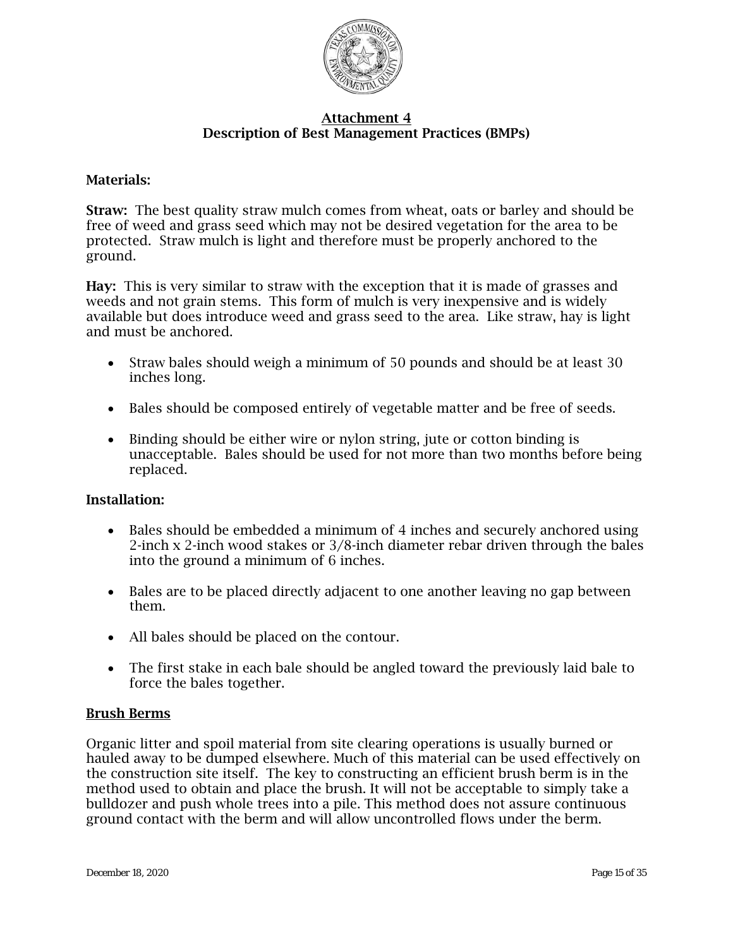

## Materials:

Straw: The best quality straw mulch comes from wheat, oats or barley and should be free of weed and grass seed which may not be desired vegetation for the area to be protected. Straw mulch is light and therefore must be properly anchored to the ground.

Hay: This is very similar to straw with the exception that it is made of grasses and weeds and not grain stems. This form of mulch is very inexpensive and is widely available but does introduce weed and grass seed to the area. Like straw, hay is light and must be anchored.

- Straw bales should weigh a minimum of 50 pounds and should be at least 30 inches long.
- Bales should be composed entirely of vegetable matter and be free of seeds.
- Binding should be either wire or nylon string, jute or cotton binding is unacceptable. Bales should be used for not more than two months before being replaced.

## Installation:

- Bales should be embedded a minimum of 4 inches and securely anchored using 2-inch x 2-inch wood stakes or 3/8-inch diameter rebar driven through the bales into the ground a minimum of 6 inches.
- Bales are to be placed directly adjacent to one another leaving no gap between them.
- All bales should be placed on the contour.
- The first stake in each bale should be angled toward the previously laid bale to force the bales together.

## Brush Berms

Organic litter and spoil material from site clearing operations is usually burned or hauled away to be dumped elsewhere. Much of this material can be used effectively on the construction site itself. The key to constructing an efficient brush berm is in the method used to obtain and place the brush. It will not be acceptable to simply take a bulldozer and push whole trees into a pile. This method does not assure continuous ground contact with the berm and will allow uncontrolled flows under the berm.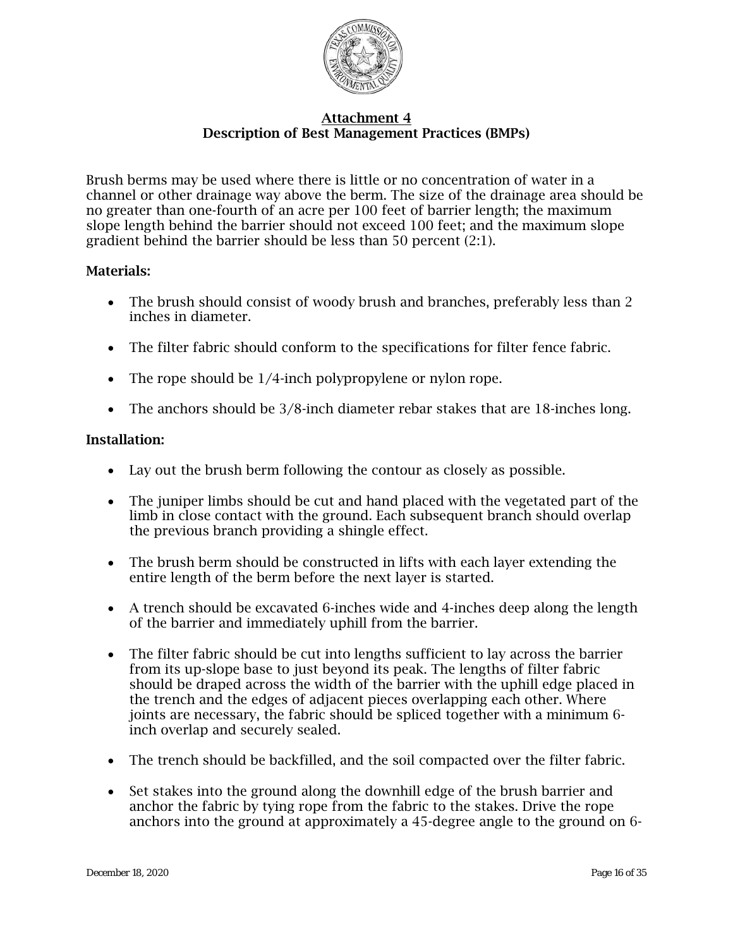

Brush berms may be used where there is little or no concentration of water in a channel or other drainage way above the berm. The size of the drainage area should be no greater than one-fourth of an acre per 100 feet of barrier length; the maximum slope length behind the barrier should not exceed 100 feet; and the maximum slope gradient behind the barrier should be less than 50 percent (2:1).

## Materials:

- The brush should consist of woody brush and branches, preferably less than 2 inches in diameter.
- The filter fabric should conform to the specifications for filter fence fabric.
- The rope should be 1/4-inch polypropylene or nylon rope.
- The anchors should be 3/8-inch diameter rebar stakes that are 18-inches long.

- Lay out the brush berm following the contour as closely as possible.
- The juniper limbs should be cut and hand placed with the vegetated part of the limb in close contact with the ground. Each subsequent branch should overlap the previous branch providing a shingle effect.
- The brush berm should be constructed in lifts with each layer extending the entire length of the berm before the next layer is started.
- A trench should be excavated 6-inches wide and 4-inches deep along the length of the barrier and immediately uphill from the barrier.
- The filter fabric should be cut into lengths sufficient to lay across the barrier from its up-slope base to just beyond its peak. The lengths of filter fabric should be draped across the width of the barrier with the uphill edge placed in the trench and the edges of adjacent pieces overlapping each other. Where joints are necessary, the fabric should be spliced together with a minimum 6 inch overlap and securely sealed.
- The trench should be backfilled, and the soil compacted over the filter fabric.
- Set stakes into the ground along the downhill edge of the brush barrier and anchor the fabric by tying rope from the fabric to the stakes. Drive the rope anchors into the ground at approximately a 45-degree angle to the ground on 6-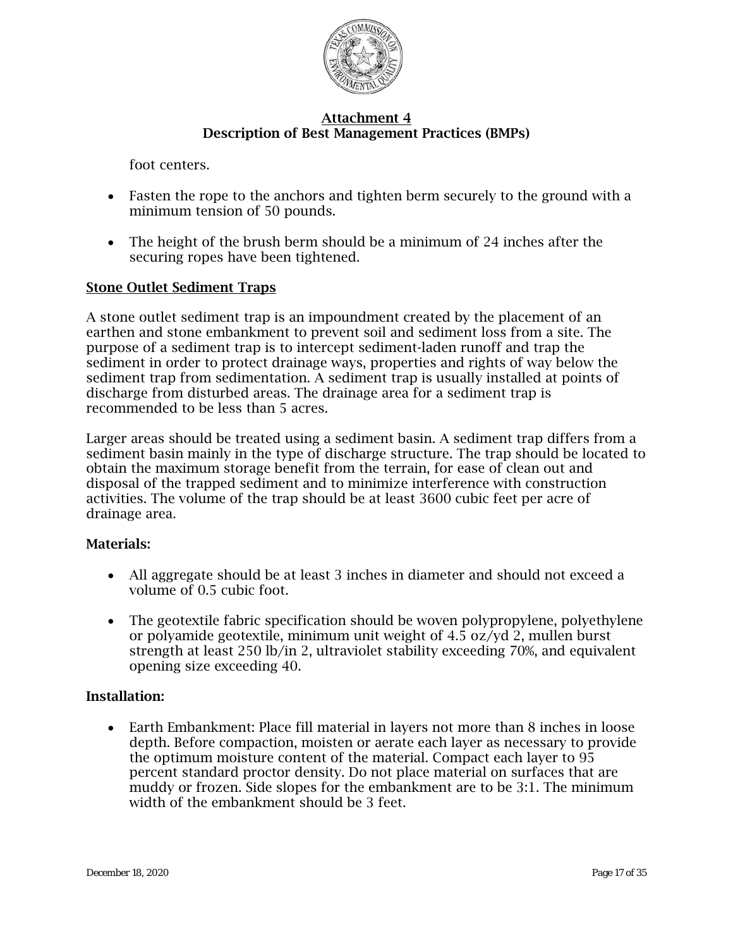

foot centers.

- Fasten the rope to the anchors and tighten berm securely to the ground with a minimum tension of 50 pounds.
- The height of the brush berm should be a minimum of 24 inches after the securing ropes have been tightened.

#### Stone Outlet Sediment Traps

A stone outlet sediment trap is an impoundment created by the placement of an earthen and stone embankment to prevent soil and sediment loss from a site. The purpose of a sediment trap is to intercept sediment-laden runoff and trap the sediment in order to protect drainage ways, properties and rights of way below the sediment trap from sedimentation. A sediment trap is usually installed at points of discharge from disturbed areas. The drainage area for a sediment trap is recommended to be less than 5 acres.

Larger areas should be treated using a sediment basin. A sediment trap differs from a sediment basin mainly in the type of discharge structure. The trap should be located to obtain the maximum storage benefit from the terrain, for ease of clean out and disposal of the trapped sediment and to minimize interference with construction activities. The volume of the trap should be at least 3600 cubic feet per acre of drainage area.

#### Materials:

- All aggregate should be at least 3 inches in diameter and should not exceed a volume of 0.5 cubic foot.
- The geotextile fabric specification should be woven polypropylene, polyethylene or polyamide geotextile, minimum unit weight of 4.5 oz/yd 2, mullen burst strength at least 250 lb/in 2, ultraviolet stability exceeding 70%, and equivalent opening size exceeding 40.

#### Installation:

• Earth Embankment: Place fill material in layers not more than 8 inches in loose depth. Before compaction, moisten or aerate each layer as necessary to provide the optimum moisture content of the material. Compact each layer to 95 percent standard proctor density. Do not place material on surfaces that are muddy or frozen. Side slopes for the embankment are to be 3:1. The minimum width of the embankment should be 3 feet.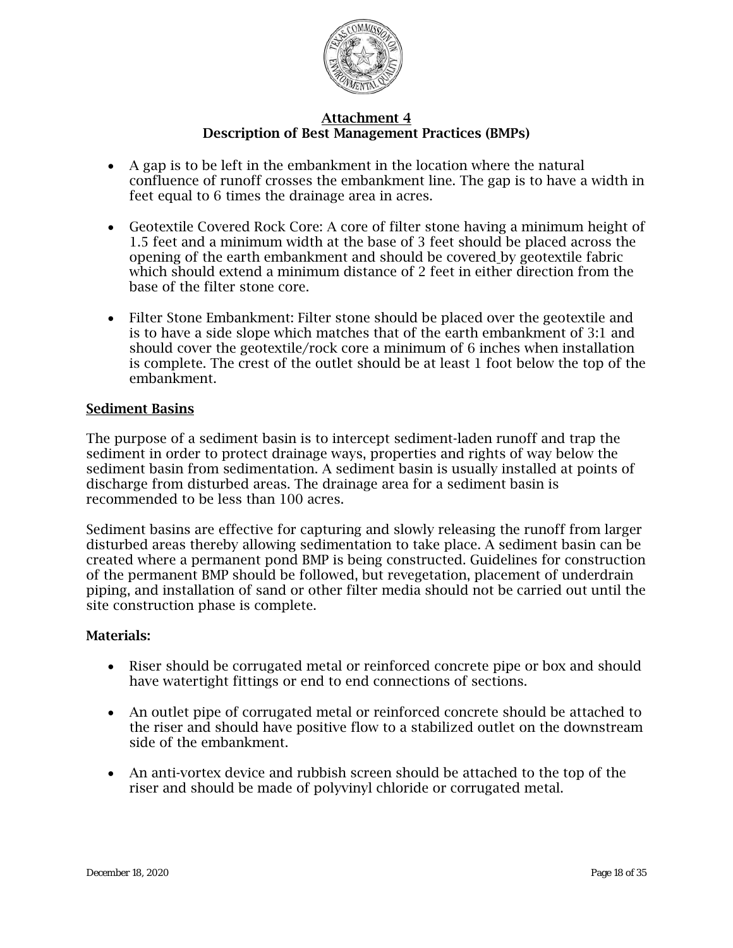

- A gap is to be left in the embankment in the location where the natural confluence of runoff crosses the embankment line. The gap is to have a width in feet equal to 6 times the drainage area in acres.
- Geotextile Covered Rock Core: A core of filter stone having a minimum height of 1.5 feet and a minimum width at the base of 3 feet should be placed across the opening of the earth embankment and should be covered by geotextile fabric which should extend a minimum distance of 2 feet in either direction from the base of the filter stone core.
- Filter Stone Embankment: Filter stone should be placed over the geotextile and is to have a side slope which matches that of the earth embankment of 3:1 and should cover the geotextile/rock core a minimum of 6 inches when installation is complete. The crest of the outlet should be at least 1 foot below the top of the embankment.

#### Sediment Basins

The purpose of a sediment basin is to intercept sediment-laden runoff and trap the sediment in order to protect drainage ways, properties and rights of way below the sediment basin from sedimentation. A sediment basin is usually installed at points of discharge from disturbed areas. The drainage area for a sediment basin is recommended to be less than 100 acres.

Sediment basins are effective for capturing and slowly releasing the runoff from larger disturbed areas thereby allowing sedimentation to take place. A sediment basin can be created where a permanent pond BMP is being constructed. Guidelines for construction of the permanent BMP should be followed, but revegetation, placement of underdrain piping, and installation of sand or other filter media should not be carried out until the site construction phase is complete.

#### Materials:

- Riser should be corrugated metal or reinforced concrete pipe or box and should have watertight fittings or end to end connections of sections.
- An outlet pipe of corrugated metal or reinforced concrete should be attached to the riser and should have positive flow to a stabilized outlet on the downstream side of the embankment.
- An anti-vortex device and rubbish screen should be attached to the top of the riser and should be made of polyvinyl chloride or corrugated metal.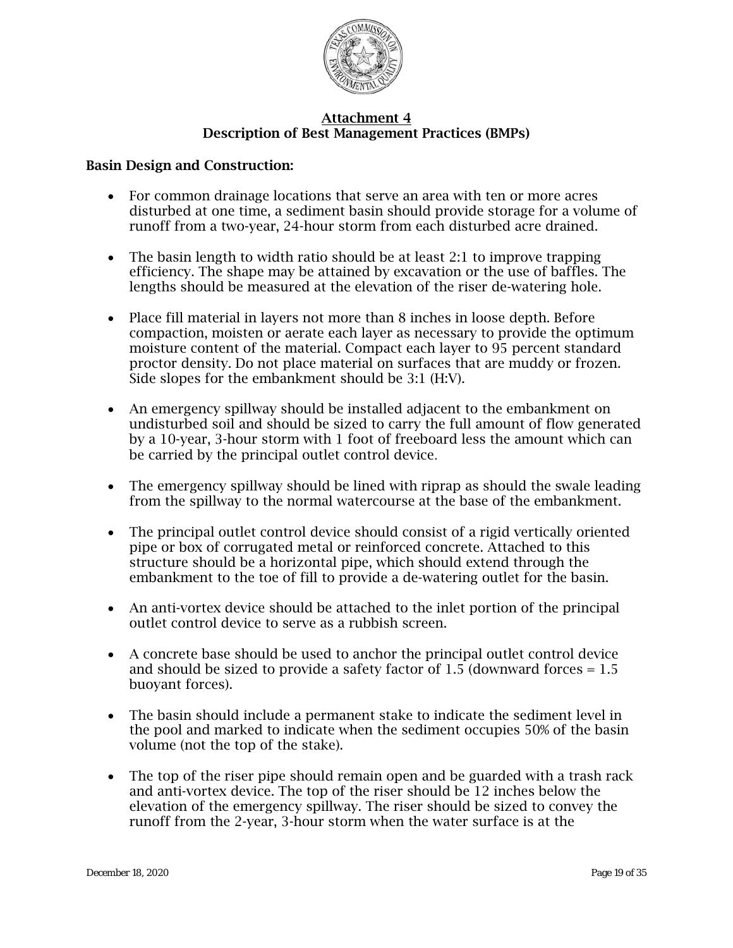

#### Basin Design and Construction:

- For common drainage locations that serve an area with ten or more acres disturbed at one time, a sediment basin should provide storage for a volume of runoff from a two-year, 24-hour storm from each disturbed acre drained.
- The basin length to width ratio should be at least 2:1 to improve trapping efficiency. The shape may be attained by excavation or the use of baffles. The lengths should be measured at the elevation of the riser de-watering hole.
- Place fill material in layers not more than 8 inches in loose depth. Before compaction, moisten or aerate each layer as necessary to provide the optimum moisture content of the material. Compact each layer to 95 percent standard proctor density. Do not place material on surfaces that are muddy or frozen. Side slopes for the embankment should be 3:1 (H:V).
- An emergency spillway should be installed adjacent to the embankment on undisturbed soil and should be sized to carry the full amount of flow generated by a 10-year, 3-hour storm with 1 foot of freeboard less the amount which can be carried by the principal outlet control device.
- The emergency spillway should be lined with riprap as should the swale leading from the spillway to the normal watercourse at the base of the embankment.
- The principal outlet control device should consist of a rigid vertically oriented pipe or box of corrugated metal or reinforced concrete. Attached to this structure should be a horizontal pipe, which should extend through the embankment to the toe of fill to provide a de-watering outlet for the basin.
- An anti-vortex device should be attached to the inlet portion of the principal outlet control device to serve as a rubbish screen.
- A concrete base should be used to anchor the principal outlet control device and should be sized to provide a safety factor of 1.5 (downward forces  $= 1.5$ ) buoyant forces).
- The basin should include a permanent stake to indicate the sediment level in the pool and marked to indicate when the sediment occupies 50% of the basin volume (not the top of the stake).
- The top of the riser pipe should remain open and be guarded with a trash rack and anti-vortex device. The top of the riser should be 12 inches below the elevation of the emergency spillway. The riser should be sized to convey the runoff from the 2-year, 3-hour storm when the water surface is at the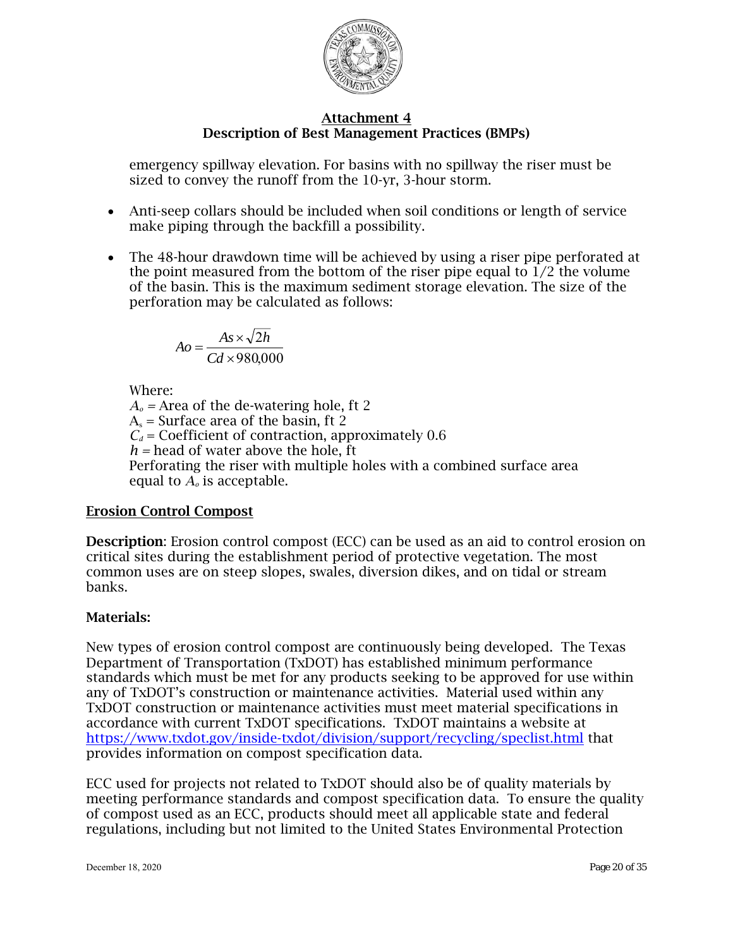

emergency spillway elevation. For basins with no spillway the riser must be sized to convey the runoff from the 10-yr, 3-hour storm.

- Anti-seep collars should be included when soil conditions or length of service make piping through the backfill a possibility.
- The 48-hour drawdown time will be achieved by using a riser pipe perforated at the point measured from the bottom of the riser pipe equal to  $1/2$  the volume of the basin. This is the maximum sediment storage elevation. The size of the perforation may be calculated as follows:

$$
Ao = \frac{As \times \sqrt{2h}}{Cd \times 980,000}
$$

Where:

 $A<sub>o</sub>$  = Area of the de-watering hole, ft 2  $A<sub>s</sub>$  = Surface area of the basin, ft 2  $C_d$  = Coefficient of contraction, approximately 0.6  $h$  = head of water above the hole, ft Perforating the riser with multiple holes with a combined surface area equal to *A<sup>o</sup>* is acceptable.

## Erosion Control Compost

Description: Erosion control compost (ECC) can be used as an aid to control erosion on critical sites during the establishment period of protective vegetation. The most common uses are on steep slopes, swales, diversion dikes, and on tidal or stream banks.

## Materials:

New types of erosion control compost are continuously being developed. The Texas Department of Transportation (TxDOT) has established minimum performance standards which must be met for any products seeking to be approved for use within any of TxDOT's construction or maintenance activities. Material used within any TxDOT construction or maintenance activities must meet material specifications in accordance with current TxDOT specifications. TxDOT maintains a website at <https://www.txdot.gov/inside-txdot/division/support/recycling/speclist.html> that provides information on compost specification data.

ECC used for projects not related to TxDOT should also be of quality materials by meeting performance standards and compost specification data. To ensure the quality of compost used as an ECC, products should meet all applicable state and federal regulations, including but not limited to the United States Environmental Protection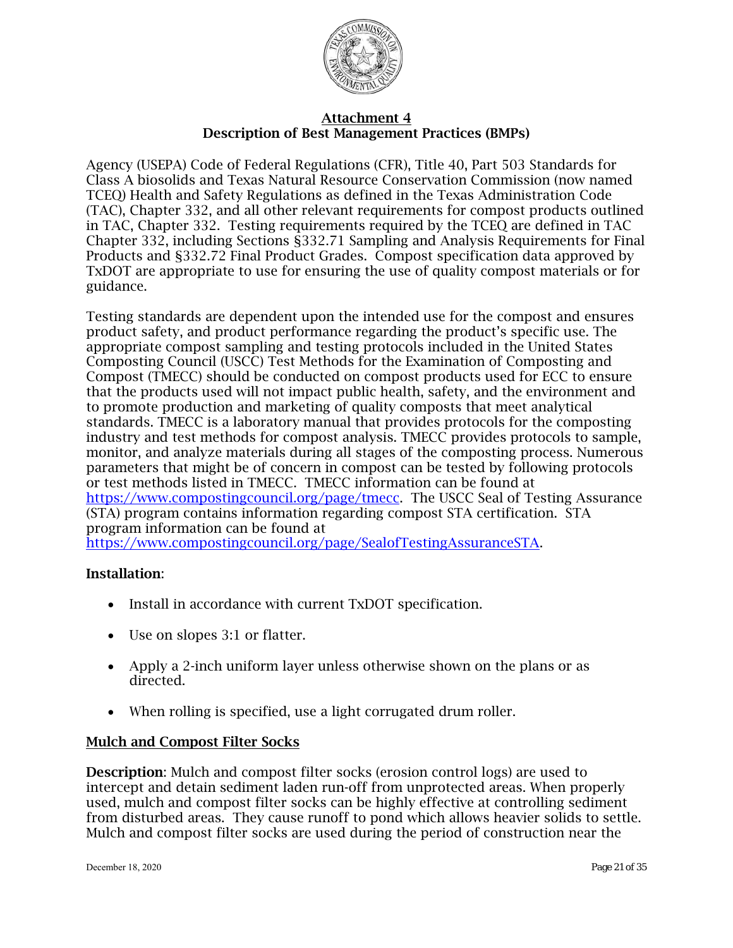

Agency (USEPA) Code of Federal Regulations (CFR), Title 40, Part 503 Standards for Class A biosolids and Texas Natural Resource Conservation Commission (now named TCEQ) Health and Safety Regulations as defined in the Texas Administration Code (TAC), Chapter 332, and all other relevant requirements for compost products outlined in TAC, Chapter 332. Testing requirements required by the TCEQ are defined in TAC Chapter 332, including Sections §332.71 Sampling and Analysis Requirements for Final Products and §332.72 Final Product Grades. Compost specification data approved by TxDOT are appropriate to use for ensuring the use of quality compost materials or for guidance.

Testing standards are dependent upon the intended use for the compost and ensures product safety, and product performance regarding the product's specific use. The appropriate compost sampling and testing protocols included in the United States Composting Council (USCC) Test Methods for the Examination of Composting and Compost (TMECC) should be conducted on compost products used for ECC to ensure that the products used will not impact public health, safety, and the environment and to promote production and marketing of quality composts that meet analytical standards. TMECC is a laboratory manual that provides protocols for the composting industry and test methods for compost analysis. TMECC provides protocols to sample, monitor, and analyze materials during all stages of the composting process. Numerous parameters that might be of concern in compost can be tested by following protocols or test methods listed in TMECC. TMECC information can be found at [https://www.compostingcouncil.org/page/tmecc.](http://www.tmecc.org/tmecc/index.html) The USCC Seal of Testing Assurance (STA) program contains information regarding compost STA certification. STA program information can be found at [https://www.compostingcouncil.org/page/SealofTestingAssuranceSTA.](http://tmecc.org/sta/STA_program_description.html)

## Installation:

- Install in accordance with current TxDOT specification.
- Use on slopes 3:1 or flatter.
- Apply a 2-inch uniform layer unless otherwise shown on the plans or as directed.
- When rolling is specified, use a light corrugated drum roller.

## Mulch and Compost Filter Socks

Description: Mulch and compost filter socks (erosion control logs) are used to intercept and detain sediment laden run-off from unprotected areas. When properly used, mulch and compost filter socks can be highly effective at controlling sediment from disturbed areas. They cause runoff to pond which allows heavier solids to settle. Mulch and compost filter socks are used during the period of construction near the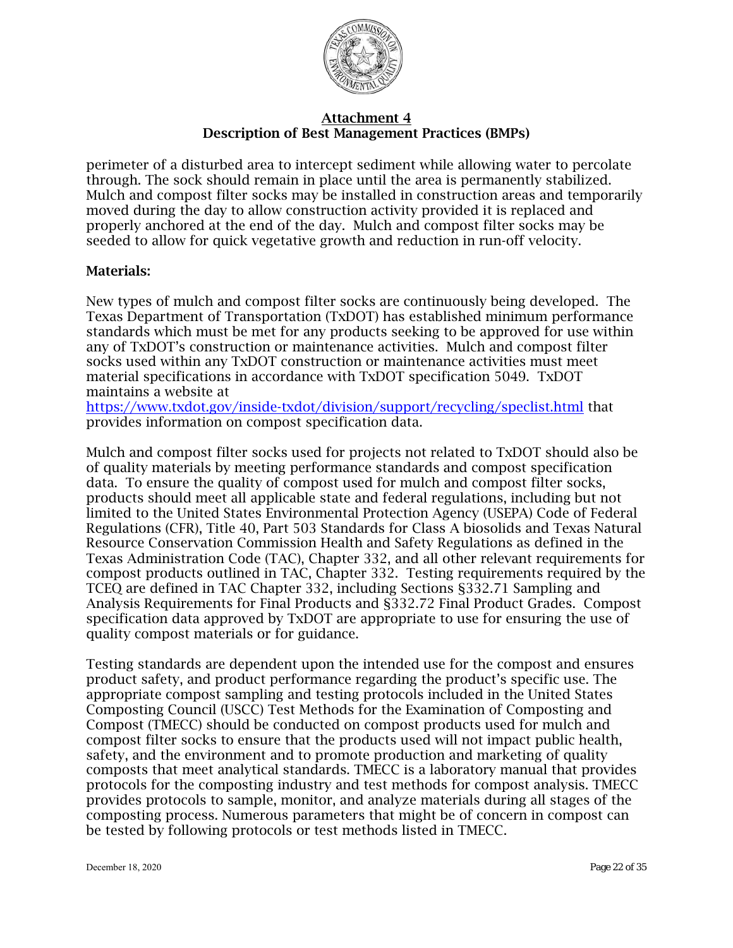

perimeter of a disturbed area to intercept sediment while allowing water to percolate through. The sock should remain in place until the area is permanently stabilized. Mulch and compost filter socks may be installed in construction areas and temporarily moved during the day to allow construction activity provided it is replaced and properly anchored at the end of the day. Mulch and compost filter socks may be seeded to allow for quick vegetative growth and reduction in run-off velocity.

## Materials:

New types of mulch and compost filter socks are continuously being developed. The Texas Department of Transportation (TxDOT) has established minimum performance standards which must be met for any products seeking to be approved for use within any of TxDOT's construction or maintenance activities. Mulch and compost filter socks used within any TxDOT construction or maintenance activities must meet material specifications in accordance with TxDOT specification 5049. TxDOT maintains a website at

<https://www.txdot.gov/inside-txdot/division/support/recycling/speclist.html> that provides information on compost specification data.

Mulch and compost filter socks used for projects not related to TxDOT should also be of quality materials by meeting performance standards and compost specification data. To ensure the quality of compost used for mulch and compost filter socks, products should meet all applicable state and federal regulations, including but not limited to the United States Environmental Protection Agency (USEPA) Code of Federal Regulations (CFR), Title 40, Part 503 Standards for Class A biosolids and Texas Natural Resource Conservation Commission Health and Safety Regulations as defined in the Texas Administration Code (TAC), Chapter 332, and all other relevant requirements for compost products outlined in TAC, Chapter 332. Testing requirements required by the TCEQ are defined in TAC Chapter 332, including Sections §332.71 Sampling and Analysis Requirements for Final Products and §332.72 Final Product Grades. Compost specification data approved by TxDOT are appropriate to use for ensuring the use of quality compost materials or for guidance.

Testing standards are dependent upon the intended use for the compost and ensures product safety, and product performance regarding the product's specific use. The appropriate compost sampling and testing protocols included in the United States Composting Council (USCC) Test Methods for the Examination of Composting and Compost (TMECC) should be conducted on compost products used for mulch and compost filter socks to ensure that the products used will not impact public health, safety, and the environment and to promote production and marketing of quality composts that meet analytical standards. TMECC is a laboratory manual that provides protocols for the composting industry and test methods for compost analysis. TMECC provides protocols to sample, monitor, and analyze materials during all stages of the composting process. Numerous parameters that might be of concern in compost can be tested by following protocols or test methods listed in TMECC.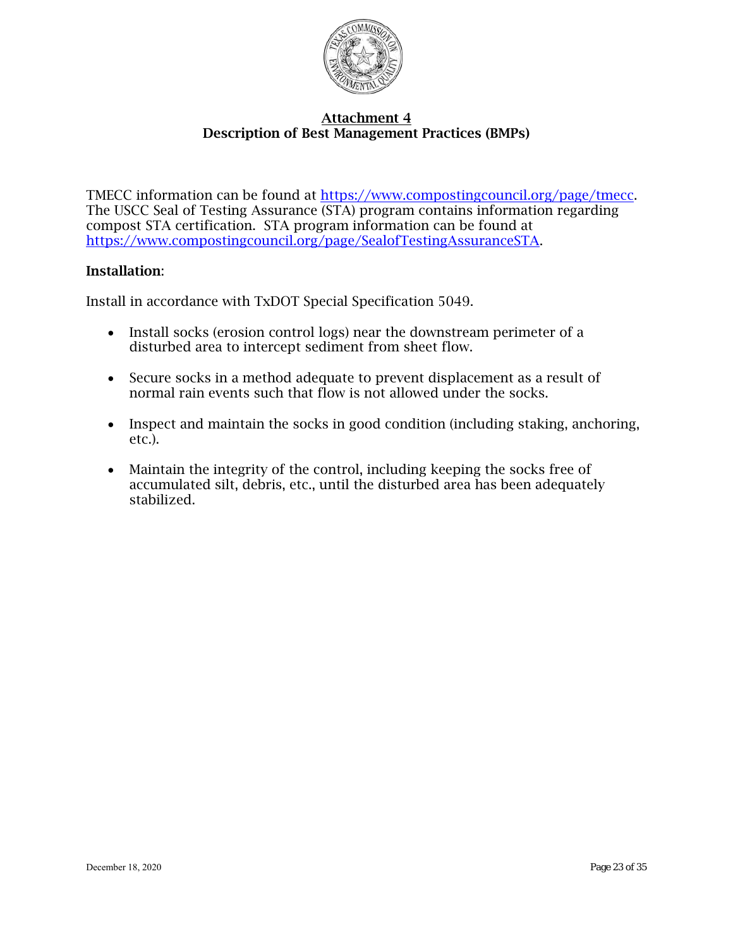

TMECC information can be found at [https://www.compostingcouncil.org/page/tmecc.](http://www.tmecc.org/tmecc/index.html) The USCC Seal of Testing Assurance (STA) program contains information regarding compost STA certification. STA program information can be found at [https://www.compostingcouncil.org/page/SealofTestingAssuranceSTA.](https://www.compostingcouncil.org/page/SealofTestingAssuranceSTA)

#### Installation:

Install in accordance with TxDOT Special Specification 5049.

- Install socks (erosion control logs) near the downstream perimeter of a disturbed area to intercept sediment from sheet flow.
- Secure socks in a method adequate to prevent displacement as a result of normal rain events such that flow is not allowed under the socks.
- Inspect and maintain the socks in good condition (including staking, anchoring, etc.).
- Maintain the integrity of the control, including keeping the socks free of accumulated silt, debris, etc., until the disturbed area has been adequately stabilized.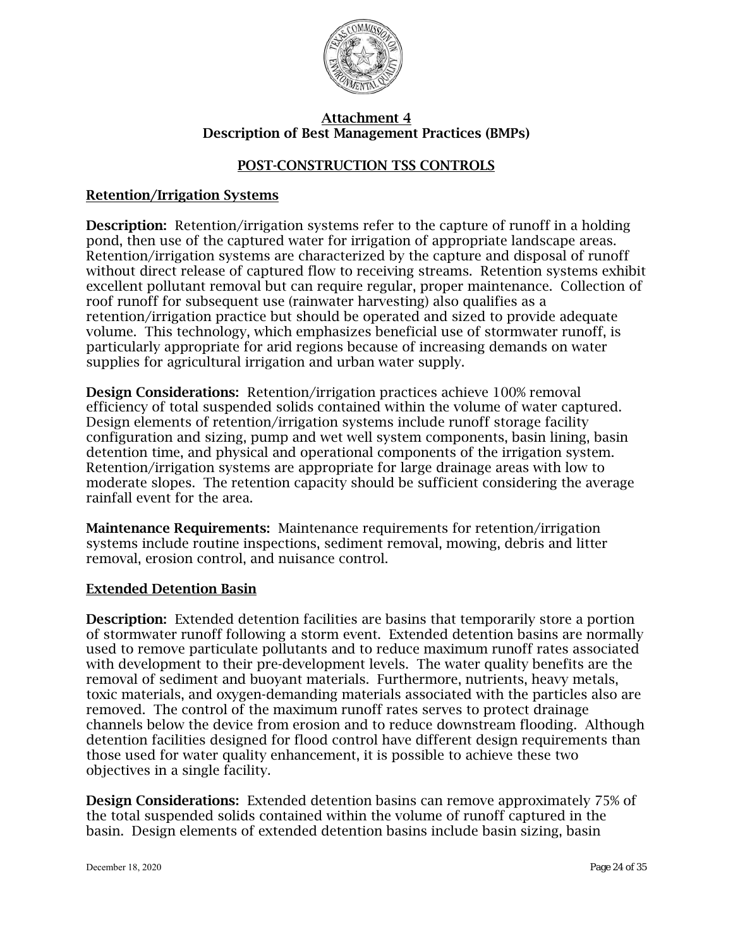

## POST-CONSTRUCTION TSS CONTROLS

## Retention/Irrigation Systems

Description: Retention/irrigation systems refer to the capture of runoff in a holding pond, then use of the captured water for irrigation of appropriate landscape areas. Retention/irrigation systems are characterized by the capture and disposal of runoff without direct release of captured flow to receiving streams. Retention systems exhibit excellent pollutant removal but can require regular, proper maintenance. Collection of roof runoff for subsequent use (rainwater harvesting) also qualifies as a retention/irrigation practice but should be operated and sized to provide adequate volume. This technology, which emphasizes beneficial use of stormwater runoff, is particularly appropriate for arid regions because of increasing demands on water supplies for agricultural irrigation and urban water supply.

Design Considerations: Retention/irrigation practices achieve 100% removal efficiency of total suspended solids contained within the volume of water captured. Design elements of retention/irrigation systems include runoff storage facility configuration and sizing, pump and wet well system components, basin lining, basin detention time, and physical and operational components of the irrigation system. Retention/irrigation systems are appropriate for large drainage areas with low to moderate slopes. The retention capacity should be sufficient considering the average rainfall event for the area.

Maintenance Requirements: Maintenance requirements for retention/irrigation systems include routine inspections, sediment removal, mowing, debris and litter removal, erosion control, and nuisance control.

#### Extended Detention Basin

Description: Extended detention facilities are basins that temporarily store a portion of stormwater runoff following a storm event. Extended detention basins are normally used to remove particulate pollutants and to reduce maximum runoff rates associated with development to their pre-development levels. The water quality benefits are the removal of sediment and buoyant materials. Furthermore, nutrients, heavy metals, toxic materials, and oxygen-demanding materials associated with the particles also are removed. The control of the maximum runoff rates serves to protect drainage channels below the device from erosion and to reduce downstream flooding. Although detention facilities designed for flood control have different design requirements than those used for water quality enhancement, it is possible to achieve these two objectives in a single facility.

Design Considerations: Extended detention basins can remove approximately 75% of the total suspended solids contained within the volume of runoff captured in the basin. Design elements of extended detention basins include basin sizing, basin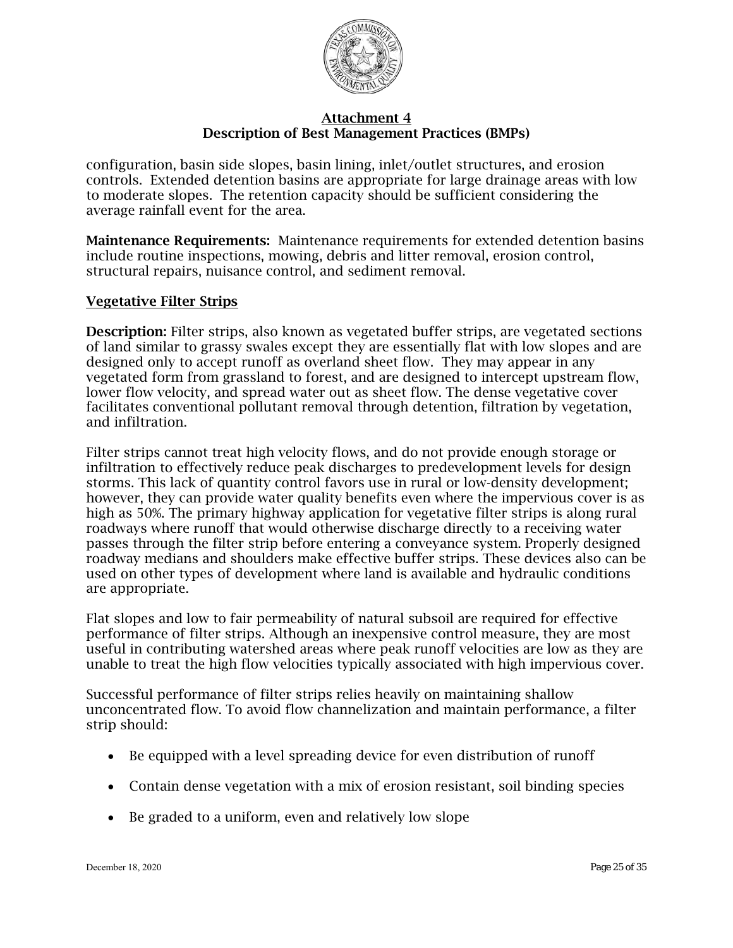

configuration, basin side slopes, basin lining, inlet/outlet structures, and erosion controls. Extended detention basins are appropriate for large drainage areas with low to moderate slopes. The retention capacity should be sufficient considering the average rainfall event for the area.

Maintenance Requirements: Maintenance requirements for extended detention basins include routine inspections, mowing, debris and litter removal, erosion control, structural repairs, nuisance control, and sediment removal.

#### Vegetative Filter Strips

Description: Filter strips, also known as vegetated buffer strips, are vegetated sections of land similar to grassy swales except they are essentially flat with low slopes and are designed only to accept runoff as overland sheet flow. They may appear in any vegetated form from grassland to forest, and are designed to intercept upstream flow, lower flow velocity, and spread water out as sheet flow. The dense vegetative cover facilitates conventional pollutant removal through detention, filtration by vegetation, and infiltration.

Filter strips cannot treat high velocity flows, and do not provide enough storage or infiltration to effectively reduce peak discharges to predevelopment levels for design storms. This lack of quantity control favors use in rural or low-density development; however, they can provide water quality benefits even where the impervious cover is as high as 50%. The primary highway application for vegetative filter strips is along rural roadways where runoff that would otherwise discharge directly to a receiving water passes through the filter strip before entering a conveyance system. Properly designed roadway medians and shoulders make effective buffer strips. These devices also can be used on other types of development where land is available and hydraulic conditions are appropriate.

Flat slopes and low to fair permeability of natural subsoil are required for effective performance of filter strips. Although an inexpensive control measure, they are most useful in contributing watershed areas where peak runoff velocities are low as they are unable to treat the high flow velocities typically associated with high impervious cover.

Successful performance of filter strips relies heavily on maintaining shallow unconcentrated flow. To avoid flow channelization and maintain performance, a filter strip should:

- Be equipped with a level spreading device for even distribution of runoff
- Contain dense vegetation with a mix of erosion resistant, soil binding species
- Be graded to a uniform, even and relatively low slope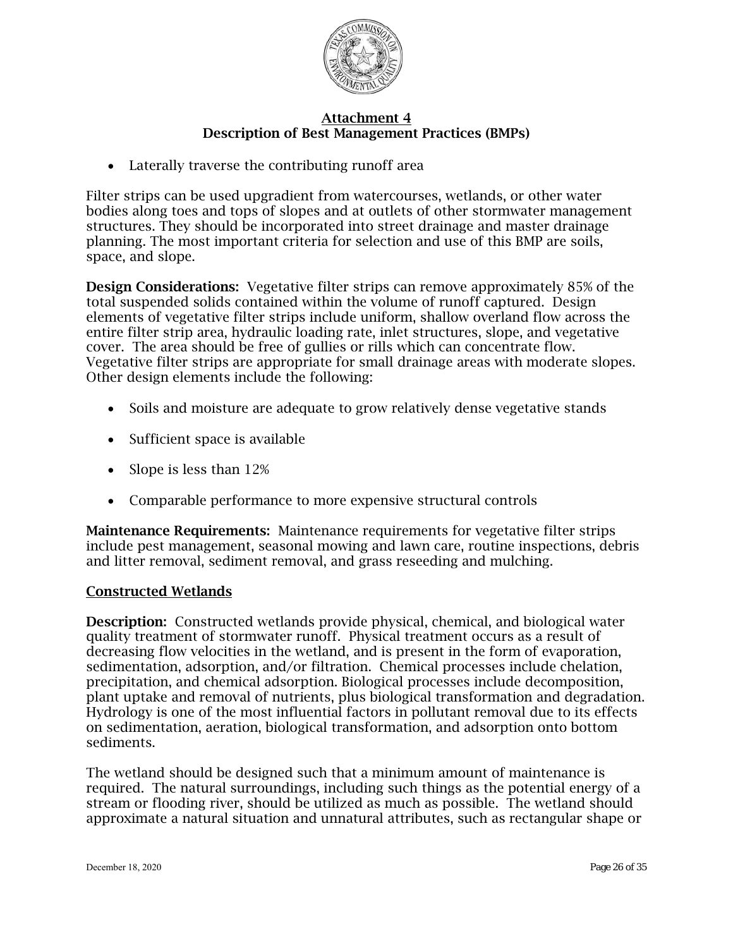

• Laterally traverse the contributing runoff area

Filter strips can be used upgradient from watercourses, wetlands, or other water bodies along toes and tops of slopes and at outlets of other stormwater management structures. They should be incorporated into street drainage and master drainage planning. The most important criteria for selection and use of this BMP are soils, space, and slope.

Design Considerations: Vegetative filter strips can remove approximately 85% of the total suspended solids contained within the volume of runoff captured. Design elements of vegetative filter strips include uniform, shallow overland flow across the entire filter strip area, hydraulic loading rate, inlet structures, slope, and vegetative cover. The area should be free of gullies or rills which can concentrate flow. Vegetative filter strips are appropriate for small drainage areas with moderate slopes. Other design elements include the following:

- Soils and moisture are adequate to grow relatively dense vegetative stands
- Sufficient space is available
- Slope is less than 12%
- Comparable performance to more expensive structural controls

Maintenance Requirements: Maintenance requirements for vegetative filter strips include pest management, seasonal mowing and lawn care, routine inspections, debris and litter removal, sediment removal, and grass reseeding and mulching.

#### Constructed Wetlands

Description: Constructed wetlands provide physical, chemical, and biological water quality treatment of stormwater runoff. Physical treatment occurs as a result of decreasing flow velocities in the wetland, and is present in the form of evaporation, sedimentation, adsorption, and/or filtration. Chemical processes include chelation, precipitation, and chemical adsorption. Biological processes include decomposition, plant uptake and removal of nutrients, plus biological transformation and degradation. Hydrology is one of the most influential factors in pollutant removal due to its effects on sedimentation, aeration, biological transformation, and adsorption onto bottom sediments.

The wetland should be designed such that a minimum amount of maintenance is required. The natural surroundings, including such things as the potential energy of a stream or flooding river, should be utilized as much as possible. The wetland should approximate a natural situation and unnatural attributes, such as rectangular shape or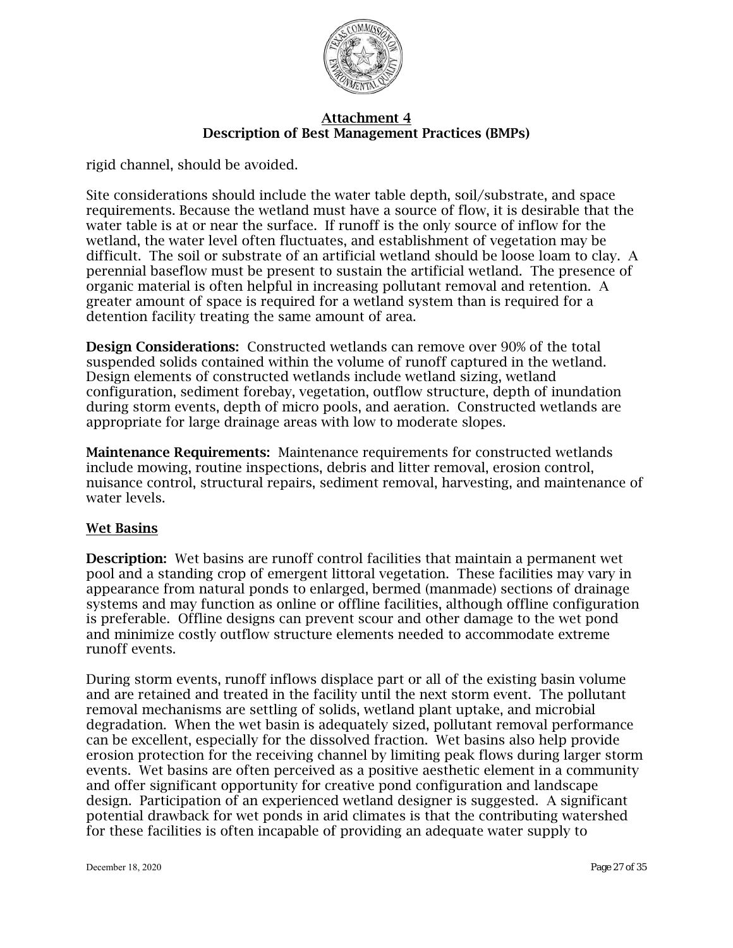

rigid channel, should be avoided.

Site considerations should include the water table depth, soil/substrate, and space requirements. Because the wetland must have a source of flow, it is desirable that the water table is at or near the surface. If runoff is the only source of inflow for the wetland, the water level often fluctuates, and establishment of vegetation may be difficult. The soil or substrate of an artificial wetland should be loose loam to clay. A perennial baseflow must be present to sustain the artificial wetland. The presence of organic material is often helpful in increasing pollutant removal and retention. A greater amount of space is required for a wetland system than is required for a detention facility treating the same amount of area.

Design Considerations: Constructed wetlands can remove over 90% of the total suspended solids contained within the volume of runoff captured in the wetland. Design elements of constructed wetlands include wetland sizing, wetland configuration, sediment forebay, vegetation, outflow structure, depth of inundation during storm events, depth of micro pools, and aeration. Constructed wetlands are appropriate for large drainage areas with low to moderate slopes.

Maintenance Requirements: Maintenance requirements for constructed wetlands include mowing, routine inspections, debris and litter removal, erosion control, nuisance control, structural repairs, sediment removal, harvesting, and maintenance of water levels.

## Wet Basins

Description: Wet basins are runoff control facilities that maintain a permanent wet pool and a standing crop of emergent littoral vegetation. These facilities may vary in appearance from natural ponds to enlarged, bermed (manmade) sections of drainage systems and may function as online or offline facilities, although offline configuration is preferable. Offline designs can prevent scour and other damage to the wet pond and minimize costly outflow structure elements needed to accommodate extreme runoff events.

During storm events, runoff inflows displace part or all of the existing basin volume and are retained and treated in the facility until the next storm event. The pollutant removal mechanisms are settling of solids, wetland plant uptake, and microbial degradation. When the wet basin is adequately sized, pollutant removal performance can be excellent, especially for the dissolved fraction. Wet basins also help provide erosion protection for the receiving channel by limiting peak flows during larger storm events. Wet basins are often perceived as a positive aesthetic element in a community and offer significant opportunity for creative pond configuration and landscape design. Participation of an experienced wetland designer is suggested. A significant potential drawback for wet ponds in arid climates is that the contributing watershed for these facilities is often incapable of providing an adequate water supply to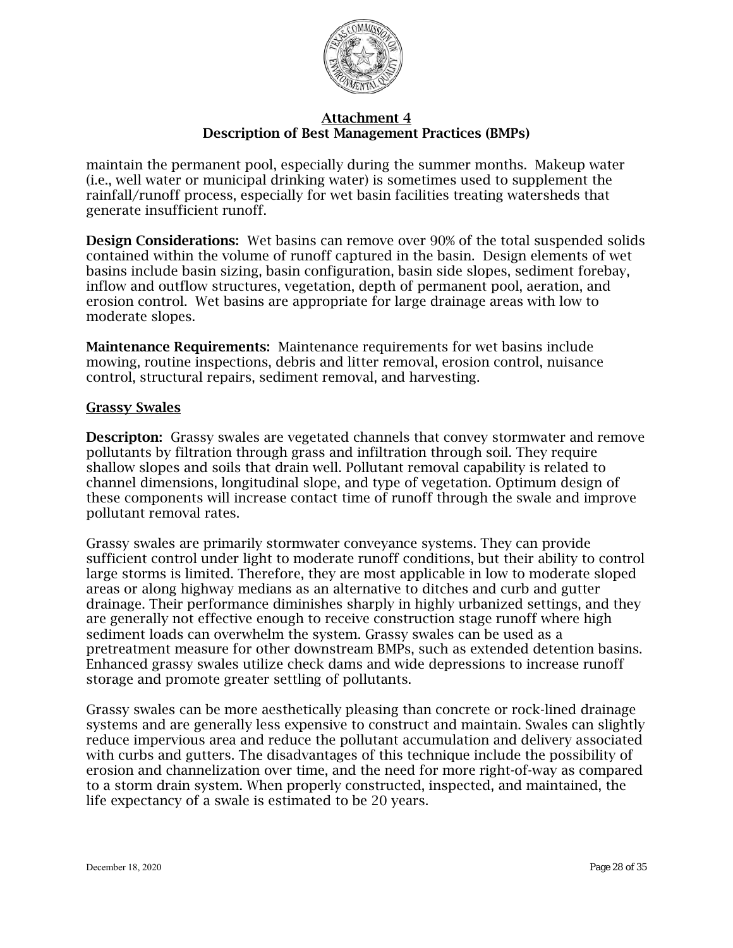

maintain the permanent pool, especially during the summer months. Makeup water (i.e., well water or municipal drinking water) is sometimes used to supplement the rainfall/runoff process, especially for wet basin facilities treating watersheds that generate insufficient runoff.

Design Considerations: Wet basins can remove over 90% of the total suspended solids contained within the volume of runoff captured in the basin. Design elements of wet basins include basin sizing, basin configuration, basin side slopes, sediment forebay, inflow and outflow structures, vegetation, depth of permanent pool, aeration, and erosion control. Wet basins are appropriate for large drainage areas with low to moderate slopes.

Maintenance Requirements: Maintenance requirements for wet basins include mowing, routine inspections, debris and litter removal, erosion control, nuisance control, structural repairs, sediment removal, and harvesting.

#### Grassy Swales

Descripton: Grassy swales are vegetated channels that convey stormwater and remove pollutants by filtration through grass and infiltration through soil. They require shallow slopes and soils that drain well. Pollutant removal capability is related to channel dimensions, longitudinal slope, and type of vegetation. Optimum design of these components will increase contact time of runoff through the swale and improve pollutant removal rates.

Grassy swales are primarily stormwater conveyance systems. They can provide sufficient control under light to moderate runoff conditions, but their ability to control large storms is limited. Therefore, they are most applicable in low to moderate sloped areas or along highway medians as an alternative to ditches and curb and gutter drainage. Their performance diminishes sharply in highly urbanized settings, and they are generally not effective enough to receive construction stage runoff where high sediment loads can overwhelm the system. Grassy swales can be used as a pretreatment measure for other downstream BMPs, such as extended detention basins. Enhanced grassy swales utilize check dams and wide depressions to increase runoff storage and promote greater settling of pollutants.

Grassy swales can be more aesthetically pleasing than concrete or rock-lined drainage systems and are generally less expensive to construct and maintain. Swales can slightly reduce impervious area and reduce the pollutant accumulation and delivery associated with curbs and gutters. The disadvantages of this technique include the possibility of erosion and channelization over time, and the need for more right-of-way as compared to a storm drain system. When properly constructed, inspected, and maintained, the life expectancy of a swale is estimated to be 20 years.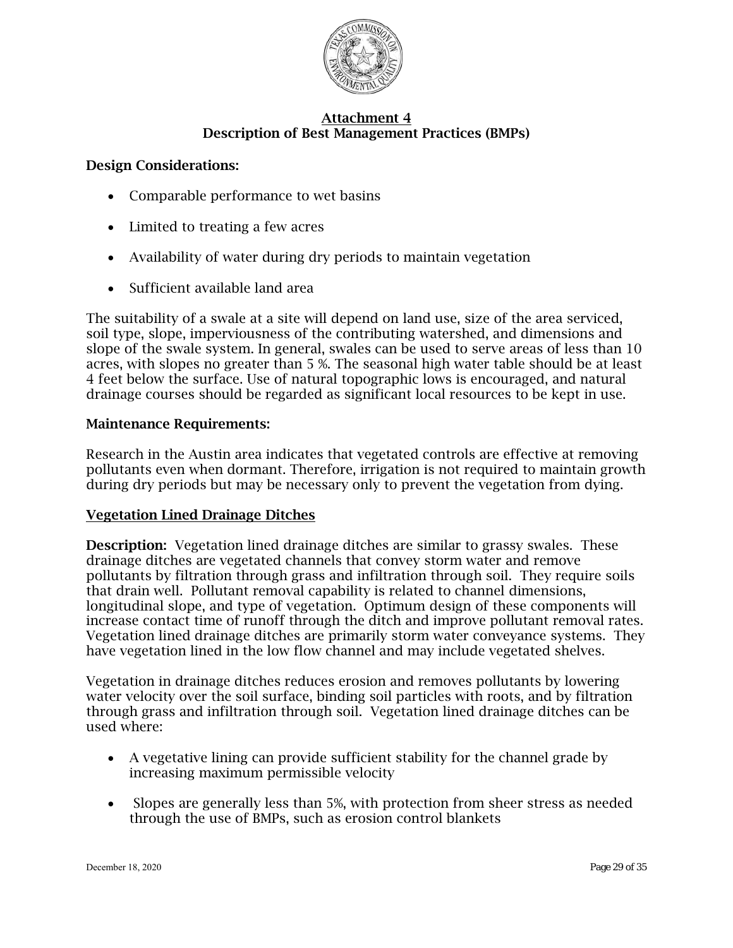

## Design Considerations:

- Comparable performance to wet basins
- Limited to treating a few acres
- Availability of water during dry periods to maintain vegetation
- Sufficient available land area

The suitability of a swale at a site will depend on land use, size of the area serviced, soil type, slope, imperviousness of the contributing watershed, and dimensions and slope of the swale system. In general, swales can be used to serve areas of less than 10 acres, with slopes no greater than 5 %. The seasonal high water table should be at least 4 feet below the surface. Use of natural topographic lows is encouraged, and natural drainage courses should be regarded as significant local resources to be kept in use.

## Maintenance Requirements:

Research in the Austin area indicates that vegetated controls are effective at removing pollutants even when dormant. Therefore, irrigation is not required to maintain growth during dry periods but may be necessary only to prevent the vegetation from dying.

## Vegetation Lined Drainage Ditches

Description: Vegetation lined drainage ditches are similar to grassy swales. These drainage ditches are vegetated channels that convey storm water and remove pollutants by filtration through grass and infiltration through soil. They require soils that drain well. Pollutant removal capability is related to channel dimensions, longitudinal slope, and type of vegetation. Optimum design of these components will increase contact time of runoff through the ditch and improve pollutant removal rates. Vegetation lined drainage ditches are primarily storm water conveyance systems. They have vegetation lined in the low flow channel and may include vegetated shelves.

Vegetation in drainage ditches reduces erosion and removes pollutants by lowering water velocity over the soil surface, binding soil particles with roots, and by filtration through grass and infiltration through soil. Vegetation lined drainage ditches can be used where:

- A vegetative lining can provide sufficient stability for the channel grade by increasing maximum permissible velocity
- Slopes are generally less than 5%, with protection from sheer stress as needed through the use of BMPs, such as erosion control blankets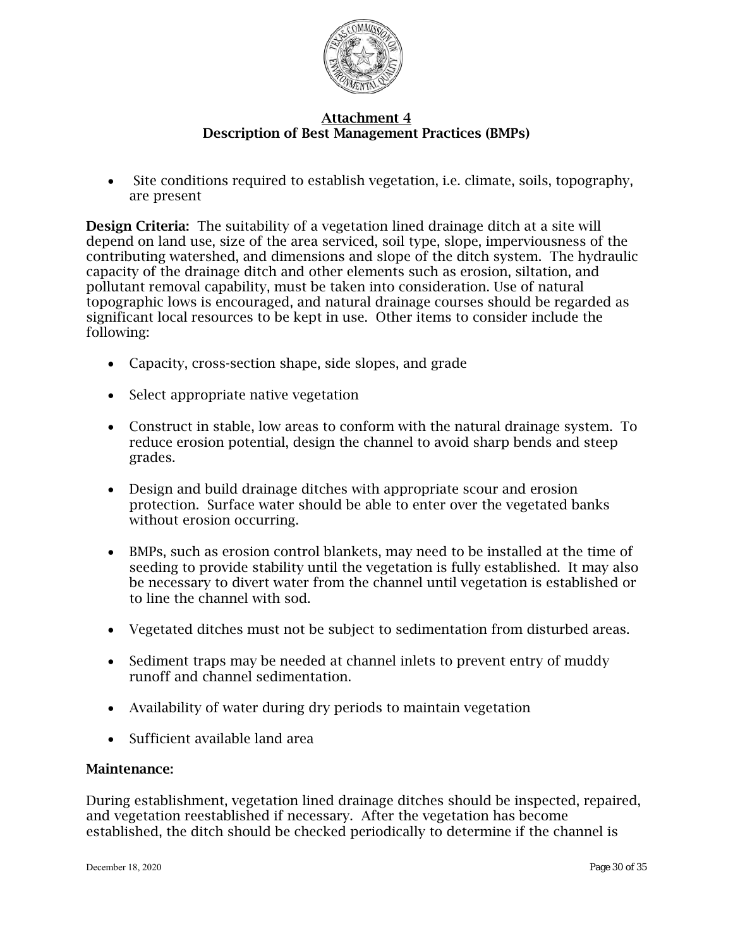

• Site conditions required to establish vegetation, i.e. climate, soils, topography, are present

Design Criteria: The suitability of a vegetation lined drainage ditch at a site will depend on land use, size of the area serviced, soil type, slope, imperviousness of the contributing watershed, and dimensions and slope of the ditch system. The hydraulic capacity of the drainage ditch and other elements such as erosion, siltation, and pollutant removal capability, must be taken into consideration. Use of natural topographic lows is encouraged, and natural drainage courses should be regarded as significant local resources to be kept in use. Other items to consider include the following:

- Capacity, cross-section shape, side slopes, and grade
- Select appropriate native vegetation
- Construct in stable, low areas to conform with the natural drainage system. To reduce erosion potential, design the channel to avoid sharp bends and steep grades.
- Design and build drainage ditches with appropriate scour and erosion protection. Surface water should be able to enter over the vegetated banks without erosion occurring.
- BMPs, such as erosion control blankets, may need to be installed at the time of seeding to provide stability until the vegetation is fully established. It may also be necessary to divert water from the channel until vegetation is established or to line the channel with sod.
- Vegetated ditches must not be subject to sedimentation from disturbed areas.
- Sediment traps may be needed at channel inlets to prevent entry of muddy runoff and channel sedimentation.
- Availability of water during dry periods to maintain vegetation
- Sufficient available land area

#### Maintenance:

During establishment, vegetation lined drainage ditches should be inspected, repaired, and vegetation reestablished if necessary. After the vegetation has become established, the ditch should be checked periodically to determine if the channel is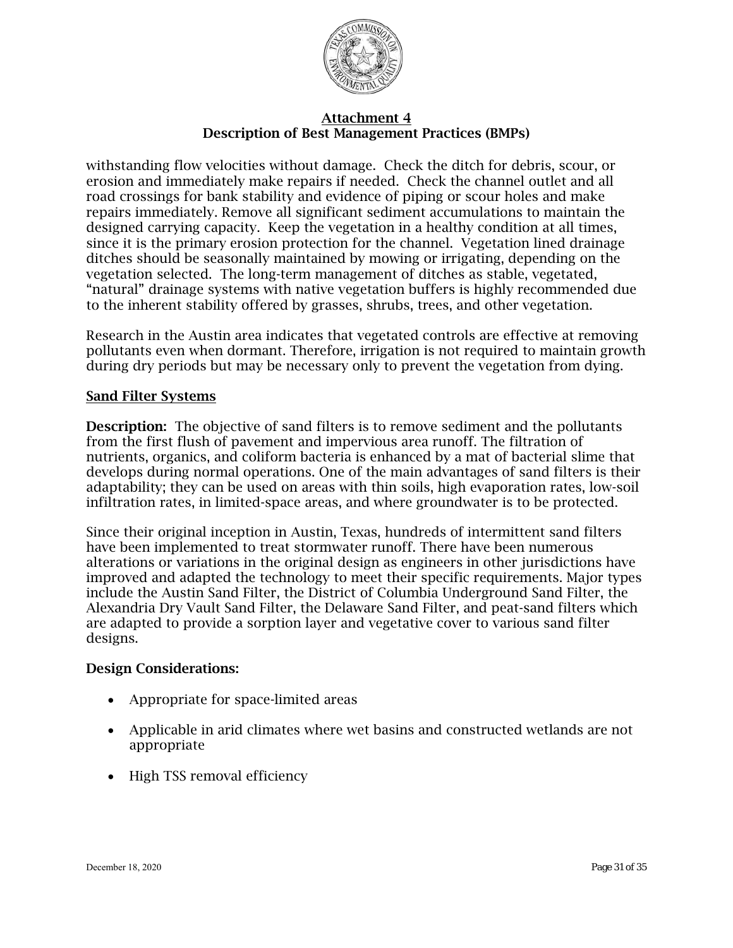

withstanding flow velocities without damage. Check the ditch for debris, scour, or erosion and immediately make repairs if needed. Check the channel outlet and all road crossings for bank stability and evidence of piping or scour holes and make repairs immediately. Remove all significant sediment accumulations to maintain the designed carrying capacity. Keep the vegetation in a healthy condition at all times, since it is the primary erosion protection for the channel. Vegetation lined drainage ditches should be seasonally maintained by mowing or irrigating, depending on the vegetation selected. The long-term management of ditches as stable, vegetated, "natural" drainage systems with native vegetation buffers is highly recommended due to the inherent stability offered by grasses, shrubs, trees, and other vegetation.

Research in the Austin area indicates that vegetated controls are effective at removing pollutants even when dormant. Therefore, irrigation is not required to maintain growth during dry periods but may be necessary only to prevent the vegetation from dying.

#### Sand Filter Systems

Description: The objective of sand filters is to remove sediment and the pollutants from the first flush of pavement and impervious area runoff. The filtration of nutrients, organics, and coliform bacteria is enhanced by a mat of bacterial slime that develops during normal operations. One of the main advantages of sand filters is their adaptability; they can be used on areas with thin soils, high evaporation rates, low-soil infiltration rates, in limited-space areas, and where groundwater is to be protected.

Since their original inception in Austin, Texas, hundreds of intermittent sand filters have been implemented to treat stormwater runoff. There have been numerous alterations or variations in the original design as engineers in other jurisdictions have improved and adapted the technology to meet their specific requirements. Major types include the Austin Sand Filter, the District of Columbia Underground Sand Filter, the Alexandria Dry Vault Sand Filter, the Delaware Sand Filter, and peat-sand filters which are adapted to provide a sorption layer and vegetative cover to various sand filter designs.

## Design Considerations:

- Appropriate for space-limited areas
- Applicable in arid climates where wet basins and constructed wetlands are not appropriate
- High TSS removal efficiency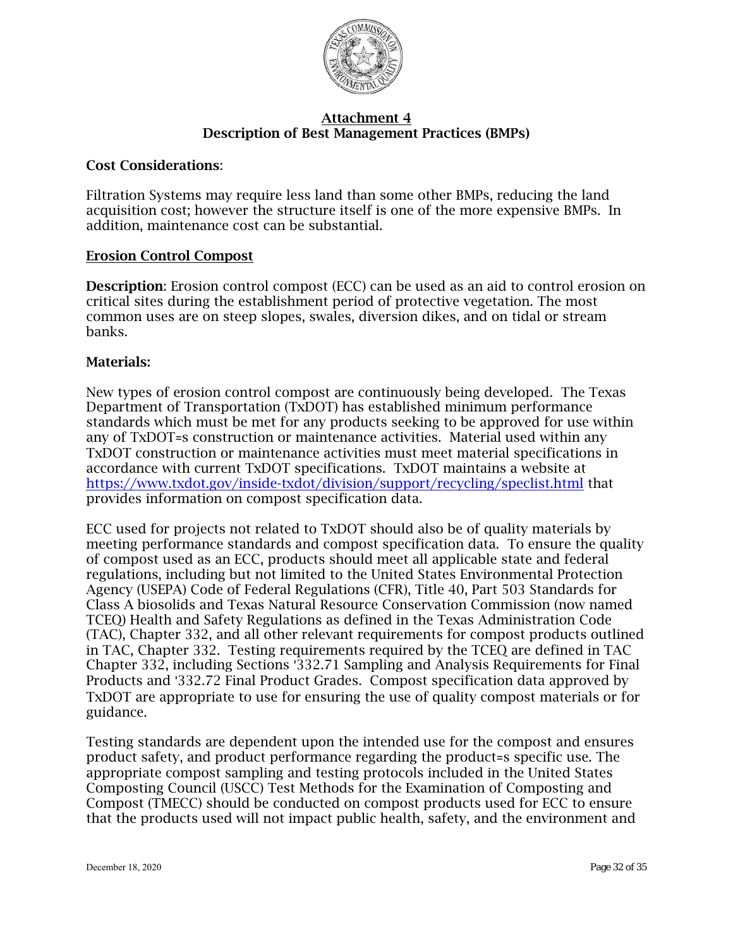

#### Cost Considerations:

Filtration Systems may require less land than some other BMPs, reducing the land acquisition cost; however the structure itself is one of the more expensive BMPs. In addition, maintenance cost can be substantial.

#### Erosion Control Compost

Description: Erosion control compost (ECC) can be used as an aid to control erosion on critical sites during the establishment period of protective vegetation. The most common uses are on steep slopes, swales, diversion dikes, and on tidal or stream banks.

#### Materials:

New types of erosion control compost are continuously being developed. The Texas Department of Transportation (TxDOT) has established minimum performance standards which must be met for any products seeking to be approved for use within any of TxDOT=s construction or maintenance activities. Material used within any TxDOT construction or maintenance activities must meet material specifications in accordance with current TxDOT specifications. TxDOT maintains a website at <https://www.txdot.gov/inside-txdot/division/support/recycling/speclist.html> that provides information on compost specification data.

ECC used for projects not related to TxDOT should also be of quality materials by meeting performance standards and compost specification data. To ensure the quality of compost used as an ECC, products should meet all applicable state and federal regulations, including but not limited to the United States Environmental Protection Agency (USEPA) Code of Federal Regulations (CFR), Title 40, Part 503 Standards for Class A biosolids and Texas Natural Resource Conservation Commission (now named TCEQ) Health and Safety Regulations as defined in the Texas Administration Code (TAC), Chapter 332, and all other relevant requirements for compost products outlined in TAC, Chapter 332. Testing requirements required by the TCEQ are defined in TAC Chapter 332, including Sections '332.71 Sampling and Analysis Requirements for Final Products and '332.72 Final Product Grades. Compost specification data approved by TxDOT are appropriate to use for ensuring the use of quality compost materials or for guidance.

Testing standards are dependent upon the intended use for the compost and ensures product safety, and product performance regarding the product=s specific use. The appropriate compost sampling and testing protocols included in the United States Composting Council (USCC) Test Methods for the Examination of Composting and Compost (TMECC) should be conducted on compost products used for ECC to ensure that the products used will not impact public health, safety, and the environment and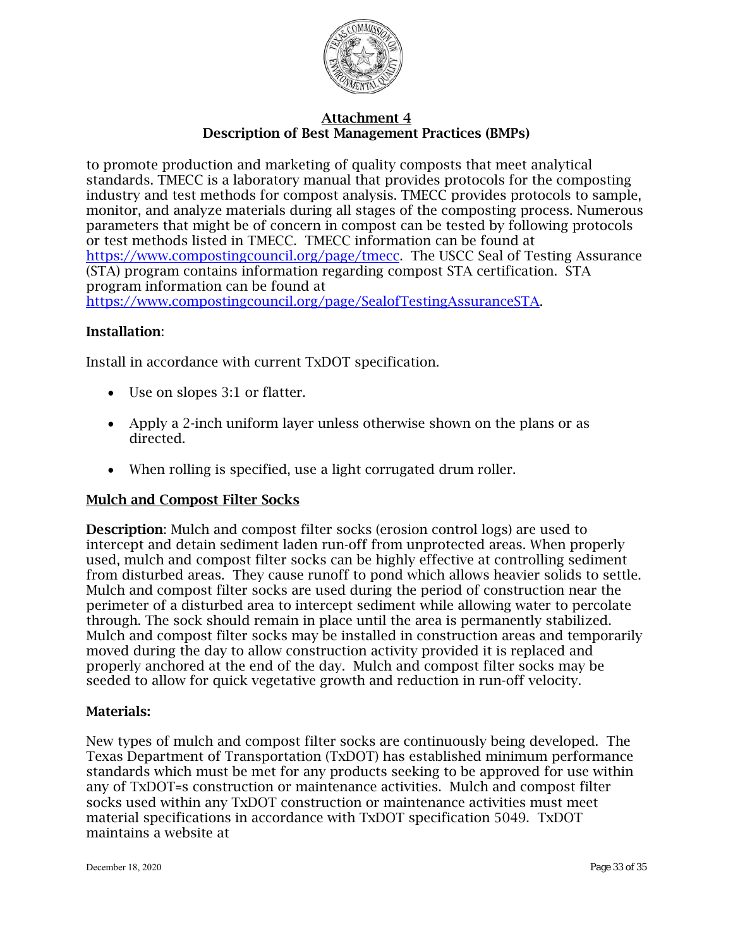

to promote production and marketing of quality composts that meet analytical standards. TMECC is a laboratory manual that provides protocols for the composting industry and test methods for compost analysis. TMECC provides protocols to sample, monitor, and analyze materials during all stages of the composting process. Numerous parameters that might be of concern in compost can be tested by following protocols or test methods listed in TMECC. TMECC information can be found at [https://www.compostingcouncil.org/page/tmecc.](https://www.compostingcouncil.org/page/tmecc) The USCC Seal of Testing Assurance (STA) program contains information regarding compost STA certification. STA program information can be found at [https://www.compostingcouncil.org/page/SealofTestingAssuranceSTA.](https://www.compostingcouncil.org/page/SealofTestingAssuranceSTA)

## Installation:

Install in accordance with current TxDOT specification.

- Use on slopes 3:1 or flatter.
- Apply a 2-inch uniform layer unless otherwise shown on the plans or as directed.
- When rolling is specified, use a light corrugated drum roller.

## Mulch and Compost Filter Socks

Description: Mulch and compost filter socks (erosion control logs) are used to intercept and detain sediment laden run-off from unprotected areas. When properly used, mulch and compost filter socks can be highly effective at controlling sediment from disturbed areas. They cause runoff to pond which allows heavier solids to settle. Mulch and compost filter socks are used during the period of construction near the perimeter of a disturbed area to intercept sediment while allowing water to percolate through. The sock should remain in place until the area is permanently stabilized. Mulch and compost filter socks may be installed in construction areas and temporarily moved during the day to allow construction activity provided it is replaced and properly anchored at the end of the day. Mulch and compost filter socks may be seeded to allow for quick vegetative growth and reduction in run-off velocity.

#### Materials:

New types of mulch and compost filter socks are continuously being developed. The Texas Department of Transportation (TxDOT) has established minimum performance standards which must be met for any products seeking to be approved for use within any of TxDOT=s construction or maintenance activities. Mulch and compost filter socks used within any TxDOT construction or maintenance activities must meet material specifications in accordance with TxDOT specification 5049. TxDOT maintains a website at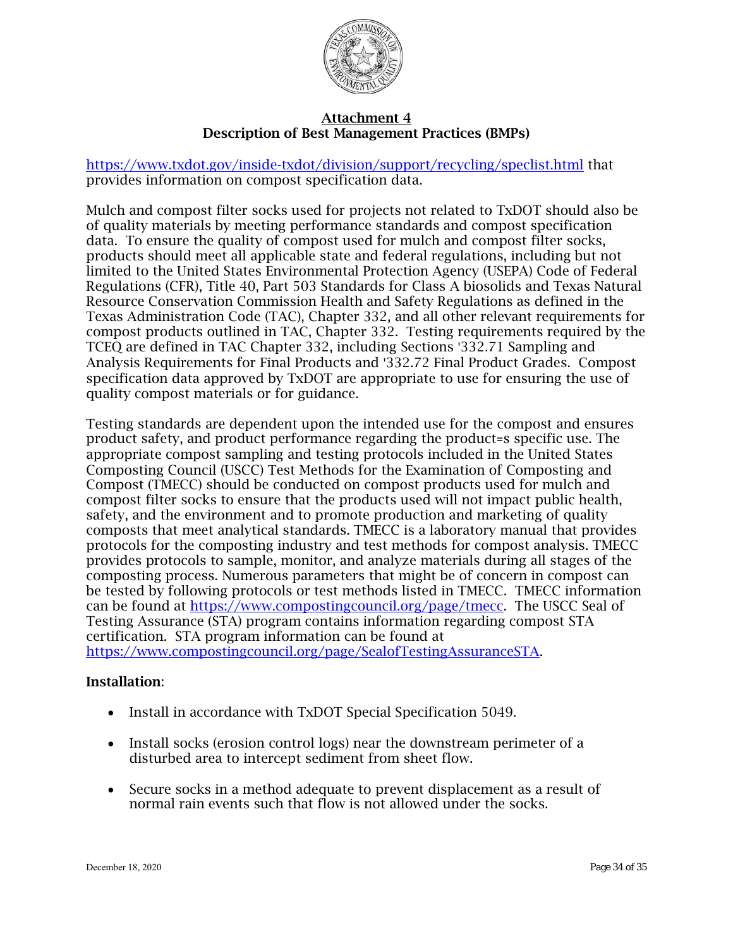

<https://www.txdot.gov/inside-txdot/division/support/recycling/speclist.html> that provides information on compost specification data.

Mulch and compost filter socks used for projects not related to TxDOT should also be of quality materials by meeting performance standards and compost specification data. To ensure the quality of compost used for mulch and compost filter socks, products should meet all applicable state and federal regulations, including but not limited to the United States Environmental Protection Agency (USEPA) Code of Federal Regulations (CFR), Title 40, Part 503 Standards for Class A biosolids and Texas Natural Resource Conservation Commission Health and Safety Regulations as defined in the Texas Administration Code (TAC), Chapter 332, and all other relevant requirements for compost products outlined in TAC, Chapter 332. Testing requirements required by the TCEQ are defined in TAC Chapter 332, including Sections '332.71 Sampling and Analysis Requirements for Final Products and '332.72 Final Product Grades. Compost specification data approved by TxDOT are appropriate to use for ensuring the use of quality compost materials or for guidance.

Testing standards are dependent upon the intended use for the compost and ensures product safety, and product performance regarding the product=s specific use. The appropriate compost sampling and testing protocols included in the United States Composting Council (USCC) Test Methods for the Examination of Composting and Compost (TMECC) should be conducted on compost products used for mulch and compost filter socks to ensure that the products used will not impact public health, safety, and the environment and to promote production and marketing of quality composts that meet analytical standards. TMECC is a laboratory manual that provides protocols for the composting industry and test methods for compost analysis. TMECC provides protocols to sample, monitor, and analyze materials during all stages of the composting process. Numerous parameters that might be of concern in compost can be tested by following protocols or test methods listed in TMECC. TMECC information can be found at [https://www.compostingcouncil.org/page/tmecc.](https://www.compostingcouncil.org/page/tmecc) The USCC Seal of Testing Assurance (STA) program contains information regarding compost STA certification. STA program information can be found at [https://www.compostingcouncil.org/page/SealofTestingAssuranceSTA.](http://tmecc.org/sta/STA_program_description.html)

- Install in accordance with TxDOT Special Specification 5049.
- Install socks (erosion control logs) near the downstream perimeter of a disturbed area to intercept sediment from sheet flow.
- Secure socks in a method adequate to prevent displacement as a result of normal rain events such that flow is not allowed under the socks.